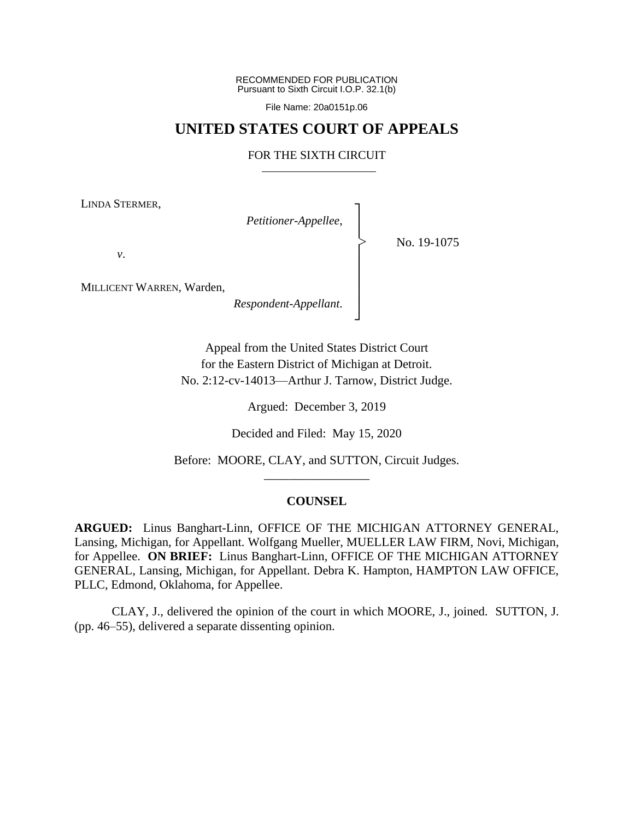RECOMMENDED FOR PUBLICATION Pursuant to Sixth Circuit I.O.P. 32.1(b)

File Name: 20a0151p.06

# **UNITED STATES COURT OF APPEALS**

### FOR THE SIXTH CIRCUIT

┐ │ │ │ │ │ │ │ ┘

|<br>|<br>|

LINDA STERMER,

*Petitioner-Appellee*,

No. 19-1075

*v*.

MILLICENT WARREN, Warden,

*Respondent-Appellant*.

Appeal from the United States District Court for the Eastern District of Michigan at Detroit. No. 2:12-cv-14013—Arthur J. Tarnow, District Judge.

Argued: December 3, 2019

Decided and Filed: May 15, 2020

Before: MOORE, CLAY, and SUTTON, Circuit Judges. \_\_\_\_\_\_\_\_\_\_\_\_\_\_\_\_\_

## **COUNSEL**

**ARGUED:** Linus Banghart-Linn, OFFICE OF THE MICHIGAN ATTORNEY GENERAL, Lansing, Michigan, for Appellant. Wolfgang Mueller, MUELLER LAW FIRM, Novi, Michigan, for Appellee. **ON BRIEF:** Linus Banghart-Linn, OFFICE OF THE MICHIGAN ATTORNEY GENERAL, Lansing, Michigan, for Appellant. Debra K. Hampton, HAMPTON LAW OFFICE, PLLC, Edmond, Oklahoma, for Appellee.

CLAY, J., delivered the opinion of the court in which MOORE, J., joined. SUTTON, J. (pp. 46–55), delivered a separate dissenting opinion.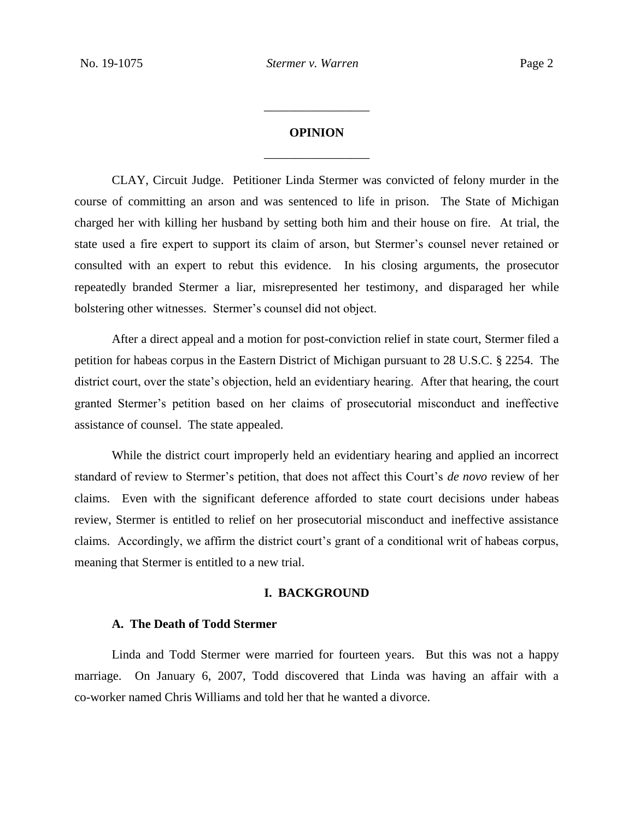# **OPINION** \_\_\_\_\_\_\_\_\_\_\_\_\_\_\_\_\_

\_\_\_\_\_\_\_\_\_\_\_\_\_\_\_\_\_

CLAY, Circuit Judge. Petitioner Linda Stermer was convicted of felony murder in the course of committing an arson and was sentenced to life in prison. The State of Michigan charged her with killing her husband by setting both him and their house on fire. At trial, the state used a fire expert to support its claim of arson, but Stermer's counsel never retained or consulted with an expert to rebut this evidence. In his closing arguments, the prosecutor repeatedly branded Stermer a liar, misrepresented her testimony, and disparaged her while bolstering other witnesses. Stermer's counsel did not object.

After a direct appeal and a motion for post-conviction relief in state court, Stermer filed a petition for habeas corpus in the Eastern District of Michigan pursuant to 28 U.S.C. § 2254. The district court, over the state's objection, held an evidentiary hearing. After that hearing, the court granted Stermer's petition based on her claims of prosecutorial misconduct and ineffective assistance of counsel. The state appealed.

While the district court improperly held an evidentiary hearing and applied an incorrect standard of review to Stermer's petition, that does not affect this Court's *de novo* review of her claims. Even with the significant deference afforded to state court decisions under habeas review, Stermer is entitled to relief on her prosecutorial misconduct and ineffective assistance claims. Accordingly, we affirm the district court's grant of a conditional writ of habeas corpus, meaning that Stermer is entitled to a new trial.

#### **I. BACKGROUND**

#### **A. The Death of Todd Stermer**

Linda and Todd Stermer were married for fourteen years. But this was not a happy marriage. On January 6, 2007, Todd discovered that Linda was having an affair with a co-worker named Chris Williams and told her that he wanted a divorce.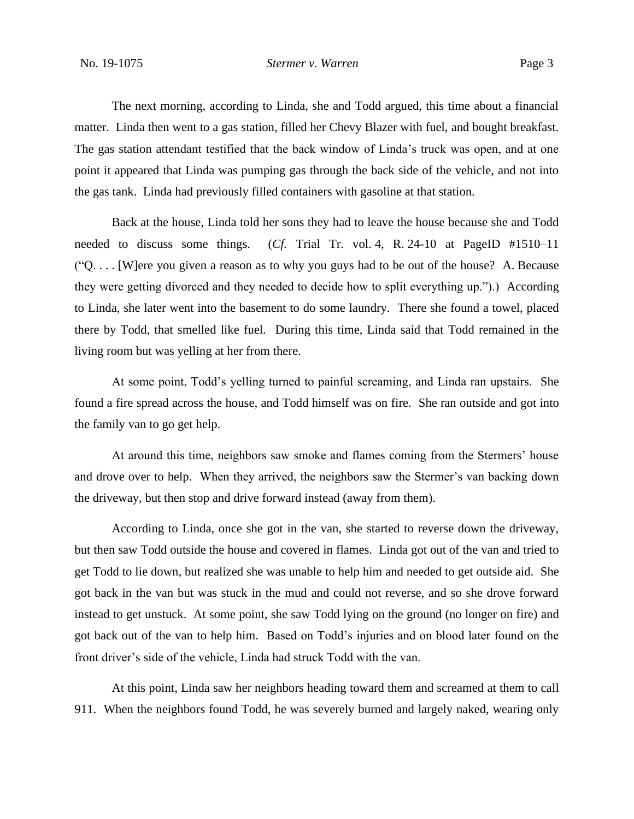The next morning, according to Linda, she and Todd argued, this time about a financial matter. Linda then went to a gas station, filled her Chevy Blazer with fuel, and bought breakfast. The gas station attendant testified that the back window of Linda's truck was open, and at one point it appeared that Linda was pumping gas through the back side of the vehicle, and not into the gas tank. Linda had previously filled containers with gasoline at that station.

Back at the house, Linda told her sons they had to leave the house because she and Todd needed to discuss some things. (*Cf.* Trial Tr. vol. 4, R. 24-10 at PageID #1510–11 ("Q. . . . [W]ere you given a reason as to why you guys had to be out of the house? A. Because they were getting divorced and they needed to decide how to split everything up.").) According to Linda, she later went into the basement to do some laundry. There she found a towel, placed there by Todd, that smelled like fuel. During this time, Linda said that Todd remained in the living room but was yelling at her from there.

At some point, Todd's yelling turned to painful screaming, and Linda ran upstairs. She found a fire spread across the house, and Todd himself was on fire. She ran outside and got into the family van to go get help.

At around this time, neighbors saw smoke and flames coming from the Stermers' house and drove over to help. When they arrived, the neighbors saw the Stermer's van backing down the driveway, but then stop and drive forward instead (away from them).

According to Linda, once she got in the van, she started to reverse down the driveway, but then saw Todd outside the house and covered in flames. Linda got out of the van and tried to get Todd to lie down, but realized she was unable to help him and needed to get outside aid. She got back in the van but was stuck in the mud and could not reverse, and so she drove forward instead to get unstuck. At some point, she saw Todd lying on the ground (no longer on fire) and got back out of the van to help him. Based on Todd's injuries and on blood later found on the front driver's side of the vehicle, Linda had struck Todd with the van.

At this point, Linda saw her neighbors heading toward them and screamed at them to call 911. When the neighbors found Todd, he was severely burned and largely naked, wearing only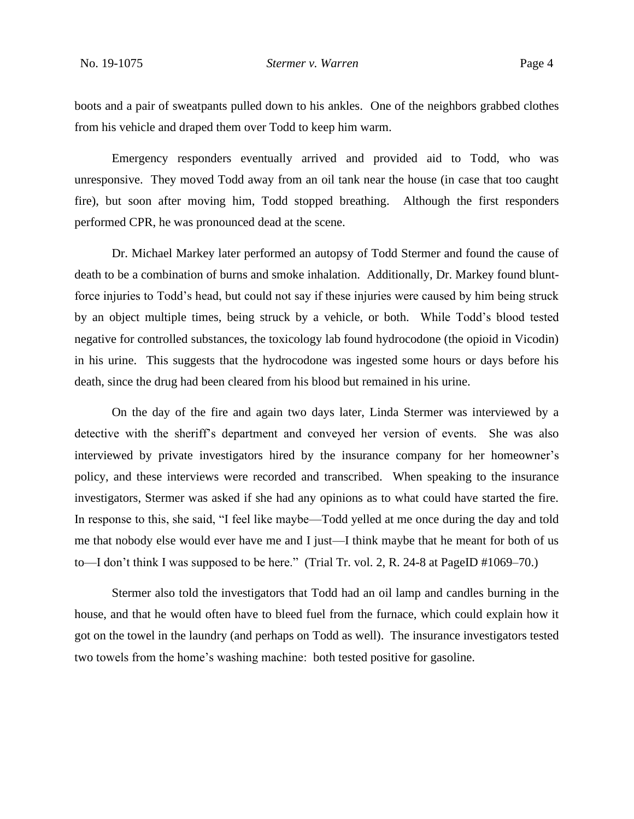boots and a pair of sweatpants pulled down to his ankles. One of the neighbors grabbed clothes from his vehicle and draped them over Todd to keep him warm.

Emergency responders eventually arrived and provided aid to Todd, who was unresponsive. They moved Todd away from an oil tank near the house (in case that too caught fire), but soon after moving him, Todd stopped breathing. Although the first responders performed CPR, he was pronounced dead at the scene.

Dr. Michael Markey later performed an autopsy of Todd Stermer and found the cause of death to be a combination of burns and smoke inhalation. Additionally, Dr. Markey found bluntforce injuries to Todd's head, but could not say if these injuries were caused by him being struck by an object multiple times, being struck by a vehicle, or both. While Todd's blood tested negative for controlled substances, the toxicology lab found hydrocodone (the opioid in Vicodin) in his urine. This suggests that the hydrocodone was ingested some hours or days before his death, since the drug had been cleared from his blood but remained in his urine.

On the day of the fire and again two days later, Linda Stermer was interviewed by a detective with the sheriff's department and conveyed her version of events. She was also interviewed by private investigators hired by the insurance company for her homeowner's policy, and these interviews were recorded and transcribed. When speaking to the insurance investigators, Stermer was asked if she had any opinions as to what could have started the fire. In response to this, she said, "I feel like maybe—Todd yelled at me once during the day and told me that nobody else would ever have me and I just—I think maybe that he meant for both of us to—I don't think I was supposed to be here." (Trial Tr. vol. 2, R. 24-8 at PageID #1069–70.)

Stermer also told the investigators that Todd had an oil lamp and candles burning in the house, and that he would often have to bleed fuel from the furnace, which could explain how it got on the towel in the laundry (and perhaps on Todd as well). The insurance investigators tested two towels from the home's washing machine: both tested positive for gasoline.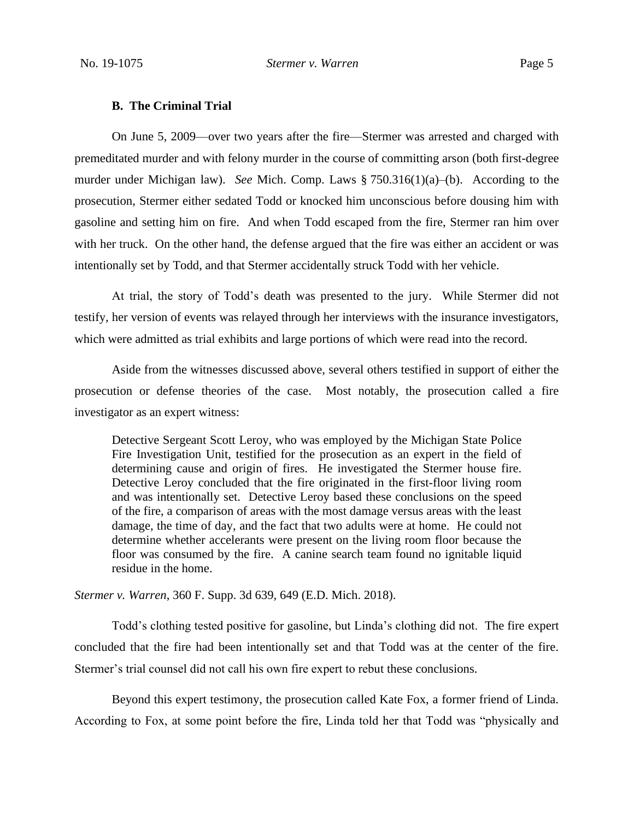#### **B. The Criminal Trial**

On June 5, 2009—over two years after the fire—Stermer was arrested and charged with premeditated murder and with felony murder in the course of committing arson (both first-degree murder under Michigan law). *See* Mich. Comp. Laws § 750.316(1)(a)–(b). According to the prosecution, Stermer either sedated Todd or knocked him unconscious before dousing him with gasoline and setting him on fire. And when Todd escaped from the fire, Stermer ran him over with her truck. On the other hand, the defense argued that the fire was either an accident or was intentionally set by Todd, and that Stermer accidentally struck Todd with her vehicle.

At trial, the story of Todd's death was presented to the jury. While Stermer did not testify, her version of events was relayed through her interviews with the insurance investigators, which were admitted as trial exhibits and large portions of which were read into the record.

Aside from the witnesses discussed above, several others testified in support of either the prosecution or defense theories of the case. Most notably, the prosecution called a fire investigator as an expert witness:

Detective Sergeant Scott Leroy, who was employed by the Michigan State Police Fire Investigation Unit, testified for the prosecution as an expert in the field of determining cause and origin of fires. He investigated the Stermer house fire. Detective Leroy concluded that the fire originated in the first-floor living room and was intentionally set. Detective Leroy based these conclusions on the speed of the fire, a comparison of areas with the most damage versus areas with the least damage, the time of day, and the fact that two adults were at home. He could not determine whether accelerants were present on the living room floor because the floor was consumed by the fire. A canine search team found no ignitable liquid residue in the home.

*Stermer v. Warren*, 360 F. Supp. 3d 639, 649 (E.D. Mich. 2018).

Todd's clothing tested positive for gasoline, but Linda's clothing did not. The fire expert concluded that the fire had been intentionally set and that Todd was at the center of the fire. Stermer's trial counsel did not call his own fire expert to rebut these conclusions.

Beyond this expert testimony, the prosecution called Kate Fox, a former friend of Linda. According to Fox, at some point before the fire, Linda told her that Todd was "physically and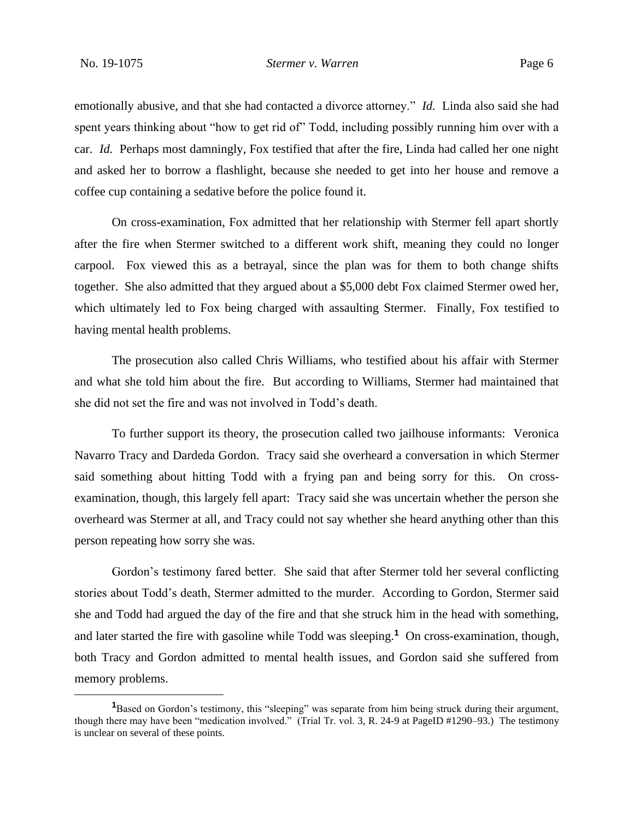emotionally abusive, and that she had contacted a divorce attorney." *Id.* Linda also said she had spent years thinking about "how to get rid of" Todd, including possibly running him over with a car. *Id.* Perhaps most damningly, Fox testified that after the fire, Linda had called her one night and asked her to borrow a flashlight, because she needed to get into her house and remove a coffee cup containing a sedative before the police found it.

On cross-examination, Fox admitted that her relationship with Stermer fell apart shortly after the fire when Stermer switched to a different work shift, meaning they could no longer carpool. Fox viewed this as a betrayal, since the plan was for them to both change shifts together. She also admitted that they argued about a \$5,000 debt Fox claimed Stermer owed her, which ultimately led to Fox being charged with assaulting Stermer. Finally, Fox testified to having mental health problems.

The prosecution also called Chris Williams, who testified about his affair with Stermer and what she told him about the fire. But according to Williams, Stermer had maintained that she did not set the fire and was not involved in Todd's death.

To further support its theory, the prosecution called two jailhouse informants: Veronica Navarro Tracy and Dardeda Gordon. Tracy said she overheard a conversation in which Stermer said something about hitting Todd with a frying pan and being sorry for this. On crossexamination, though, this largely fell apart: Tracy said she was uncertain whether the person she overheard was Stermer at all, and Tracy could not say whether she heard anything other than this person repeating how sorry she was.

Gordon's testimony fared better. She said that after Stermer told her several conflicting stories about Todd's death, Stermer admitted to the murder. According to Gordon, Stermer said she and Todd had argued the day of the fire and that she struck him in the head with something, and later started the fire with gasoline while Todd was sleeping.**<sup>1</sup>** On cross-examination, though, both Tracy and Gordon admitted to mental health issues, and Gordon said she suffered from memory problems.

**<sup>1</sup>**Based on Gordon's testimony, this "sleeping" was separate from him being struck during their argument, though there may have been "medication involved." (Trial Tr. vol. 3, R. 24-9 at PageID #1290–93.) The testimony is unclear on several of these points.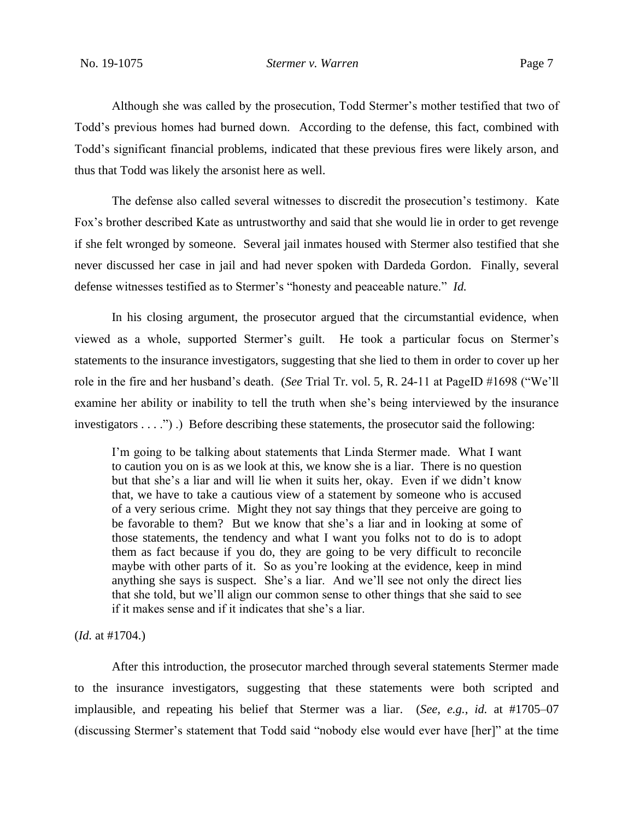Although she was called by the prosecution, Todd Stermer's mother testified that two of Todd's previous homes had burned down. According to the defense, this fact, combined with Todd's significant financial problems, indicated that these previous fires were likely arson, and thus that Todd was likely the arsonist here as well.

The defense also called several witnesses to discredit the prosecution's testimony. Kate Fox's brother described Kate as untrustworthy and said that she would lie in order to get revenge if she felt wronged by someone. Several jail inmates housed with Stermer also testified that she never discussed her case in jail and had never spoken with Dardeda Gordon. Finally, several defense witnesses testified as to Stermer's "honesty and peaceable nature." *Id.*

In his closing argument, the prosecutor argued that the circumstantial evidence, when viewed as a whole, supported Stermer's guilt. He took a particular focus on Stermer's statements to the insurance investigators, suggesting that she lied to them in order to cover up her role in the fire and her husband's death. (*See* Trial Tr. vol. 5, R. 24-11 at PageID #1698 ("We'll examine her ability or inability to tell the truth when she's being interviewed by the insurance investigators . . . .") .) Before describing these statements, the prosecutor said the following:

I'm going to be talking about statements that Linda Stermer made. What I want to caution you on is as we look at this, we know she is a liar. There is no question but that she's a liar and will lie when it suits her, okay. Even if we didn't know that, we have to take a cautious view of a statement by someone who is accused of a very serious crime. Might they not say things that they perceive are going to be favorable to them? But we know that she's a liar and in looking at some of those statements, the tendency and what I want you folks not to do is to adopt them as fact because if you do, they are going to be very difficult to reconcile maybe with other parts of it. So as you're looking at the evidence, keep in mind anything she says is suspect. She's a liar. And we'll see not only the direct lies that she told, but we'll align our common sense to other things that she said to see if it makes sense and if it indicates that she's a liar.

#### (*Id.* at #1704.)

After this introduction, the prosecutor marched through several statements Stermer made to the insurance investigators, suggesting that these statements were both scripted and implausible, and repeating his belief that Stermer was a liar. (*See, e.g.*, *id.* at #1705–07 (discussing Stermer's statement that Todd said "nobody else would ever have [her]" at the time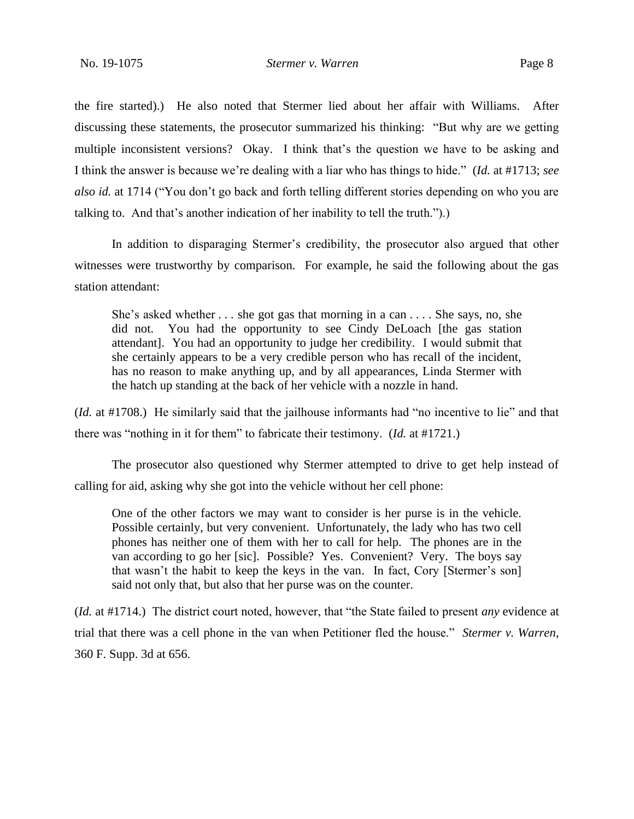the fire started).) He also noted that Stermer lied about her affair with Williams. After discussing these statements, the prosecutor summarized his thinking: "But why are we getting multiple inconsistent versions? Okay. I think that's the question we have to be asking and I think the answer is because we're dealing with a liar who has things to hide." (*Id.* at #1713; *see also id.* at 1714 ("You don't go back and forth telling different stories depending on who you are talking to. And that's another indication of her inability to tell the truth.").)

In addition to disparaging Stermer's credibility, the prosecutor also argued that other witnesses were trustworthy by comparison. For example, he said the following about the gas station attendant:

She's asked whether . . . she got gas that morning in a can . . . . She says, no, she did not. You had the opportunity to see Cindy DeLoach [the gas station attendant]. You had an opportunity to judge her credibility. I would submit that she certainly appears to be a very credible person who has recall of the incident, has no reason to make anything up, and by all appearances, Linda Stermer with the hatch up standing at the back of her vehicle with a nozzle in hand.

(*Id.* at #1708.) He similarly said that the jailhouse informants had "no incentive to lie" and that there was "nothing in it for them" to fabricate their testimony. (*Id.* at #1721.)

The prosecutor also questioned why Stermer attempted to drive to get help instead of calling for aid, asking why she got into the vehicle without her cell phone:

One of the other factors we may want to consider is her purse is in the vehicle. Possible certainly, but very convenient. Unfortunately, the lady who has two cell phones has neither one of them with her to call for help. The phones are in the van according to go her [sic]. Possible? Yes. Convenient? Very. The boys say that wasn't the habit to keep the keys in the van. In fact, Cory [Stermer's son] said not only that, but also that her purse was on the counter.

(*Id.* at #1714.) The district court noted, however, that "the State failed to present *any* evidence at trial that there was a cell phone in the van when Petitioner fled the house." *Stermer v. Warren*, 360 F. Supp. 3d at 656.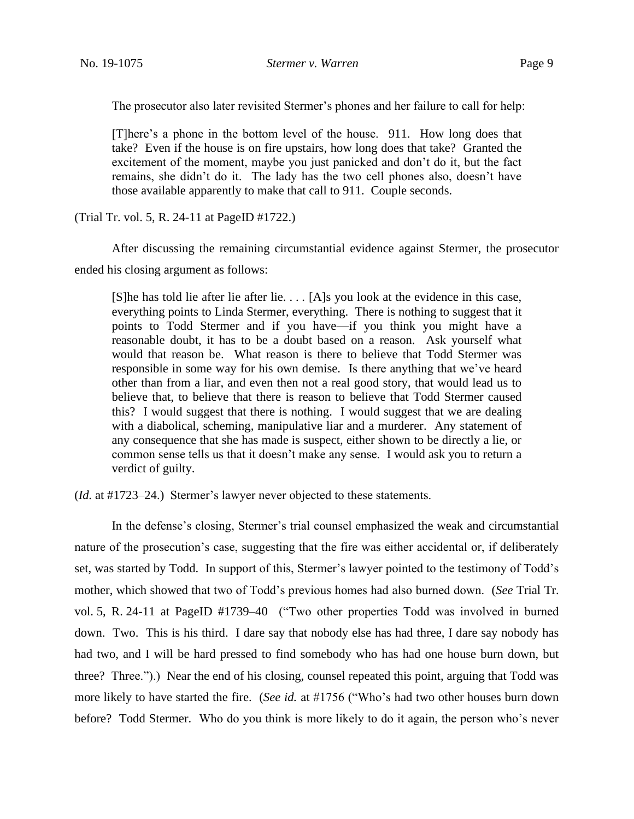The prosecutor also later revisited Stermer's phones and her failure to call for help:

[T]here's a phone in the bottom level of the house. 911. How long does that take? Even if the house is on fire upstairs, how long does that take? Granted the excitement of the moment, maybe you just panicked and don't do it, but the fact remains, she didn't do it. The lady has the two cell phones also, doesn't have those available apparently to make that call to 911. Couple seconds.

(Trial Tr. vol. 5, R. 24-11 at PageID #1722.)

After discussing the remaining circumstantial evidence against Stermer, the prosecutor ended his closing argument as follows:

[S]he has told lie after lie after lie. . . . [A]s you look at the evidence in this case, everything points to Linda Stermer, everything. There is nothing to suggest that it points to Todd Stermer and if you have—if you think you might have a reasonable doubt, it has to be a doubt based on a reason. Ask yourself what would that reason be. What reason is there to believe that Todd Stermer was responsible in some way for his own demise. Is there anything that we've heard other than from a liar, and even then not a real good story, that would lead us to believe that, to believe that there is reason to believe that Todd Stermer caused this? I would suggest that there is nothing. I would suggest that we are dealing with a diabolical, scheming, manipulative liar and a murderer. Any statement of any consequence that she has made is suspect, either shown to be directly a lie, or common sense tells us that it doesn't make any sense. I would ask you to return a verdict of guilty.

(*Id.* at #1723–24.) Stermer's lawyer never objected to these statements.

In the defense's closing, Stermer's trial counsel emphasized the weak and circumstantial nature of the prosecution's case, suggesting that the fire was either accidental or, if deliberately set, was started by Todd. In support of this, Stermer's lawyer pointed to the testimony of Todd's mother, which showed that two of Todd's previous homes had also burned down. (*See* Trial Tr. vol. 5, R. 24-11 at PageID #1739–40 ("Two other properties Todd was involved in burned down. Two. This is his third. I dare say that nobody else has had three, I dare say nobody has had two, and I will be hard pressed to find somebody who has had one house burn down, but three? Three.").) Near the end of his closing, counsel repeated this point, arguing that Todd was more likely to have started the fire. (*See id.* at #1756 ("Who's had two other houses burn down before? Todd Stermer. Who do you think is more likely to do it again, the person who's never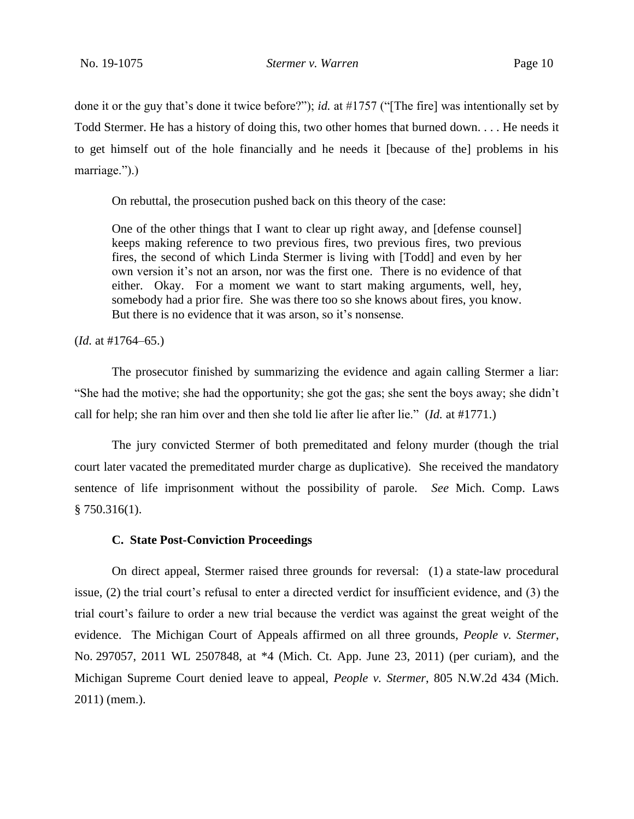done it or the guy that's done it twice before?"); *id.* at #1757 ("[The fire] was intentionally set by Todd Stermer. He has a history of doing this, two other homes that burned down. . . . He needs it to get himself out of the hole financially and he needs it [because of the] problems in his marriage.").)

On rebuttal, the prosecution pushed back on this theory of the case:

One of the other things that I want to clear up right away, and [defense counsel] keeps making reference to two previous fires, two previous fires, two previous fires, the second of which Linda Stermer is living with [Todd] and even by her own version it's not an arson, nor was the first one. There is no evidence of that either. Okay. For a moment we want to start making arguments, well, hey, somebody had a prior fire. She was there too so she knows about fires, you know. But there is no evidence that it was arson, so it's nonsense.

(*Id.* at #1764–65.)

The prosecutor finished by summarizing the evidence and again calling Stermer a liar: "She had the motive; she had the opportunity; she got the gas; she sent the boys away; she didn't call for help; she ran him over and then she told lie after lie after lie." (*Id.* at #1771.)

The jury convicted Stermer of both premeditated and felony murder (though the trial court later vacated the premeditated murder charge as duplicative). She received the mandatory sentence of life imprisonment without the possibility of parole. *See* Mich. Comp. Laws  $§ 750.316(1).$ 

#### **C. State Post-Conviction Proceedings**

On direct appeal, Stermer raised three grounds for reversal: (1) a state-law procedural issue, (2) the trial court's refusal to enter a directed verdict for insufficient evidence, and (3) the trial court's failure to order a new trial because the verdict was against the great weight of the evidence. The Michigan Court of Appeals affirmed on all three grounds, *People v. Stermer*, No. 297057, 2011 WL 2507848, at \*4 (Mich. Ct. App. June 23, 2011) (per curiam), and the Michigan Supreme Court denied leave to appeal, *People v. Stermer*, 805 N.W.2d 434 (Mich. 2011) (mem.).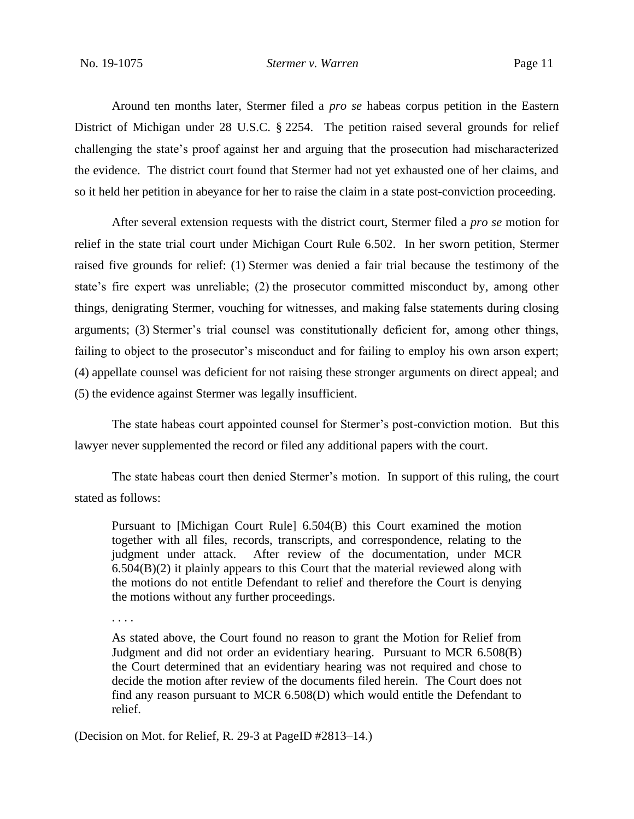Around ten months later, Stermer filed a *pro se* habeas corpus petition in the Eastern District of Michigan under 28 U.S.C. § 2254. The petition raised several grounds for relief challenging the state's proof against her and arguing that the prosecution had mischaracterized the evidence. The district court found that Stermer had not yet exhausted one of her claims, and so it held her petition in abeyance for her to raise the claim in a state post-conviction proceeding.

After several extension requests with the district court, Stermer filed a *pro se* motion for relief in the state trial court under Michigan Court Rule 6.502. In her sworn petition, Stermer raised five grounds for relief: (1) Stermer was denied a fair trial because the testimony of the state's fire expert was unreliable; (2) the prosecutor committed misconduct by, among other things, denigrating Stermer, vouching for witnesses, and making false statements during closing arguments; (3) Stermer's trial counsel was constitutionally deficient for, among other things, failing to object to the prosecutor's misconduct and for failing to employ his own arson expert; (4) appellate counsel was deficient for not raising these stronger arguments on direct appeal; and (5) the evidence against Stermer was legally insufficient.

The state habeas court appointed counsel for Stermer's post-conviction motion. But this lawyer never supplemented the record or filed any additional papers with the court.

The state habeas court then denied Stermer's motion. In support of this ruling, the court stated as follows:

Pursuant to [Michigan Court Rule] 6.504(B) this Court examined the motion together with all files, records, transcripts, and correspondence, relating to the judgment under attack. After review of the documentation, under MCR  $6.504(B)(2)$  it plainly appears to this Court that the material reviewed along with the motions do not entitle Defendant to relief and therefore the Court is denying the motions without any further proceedings.

. . . .

As stated above, the Court found no reason to grant the Motion for Relief from Judgment and did not order an evidentiary hearing. Pursuant to MCR 6.508(B) the Court determined that an evidentiary hearing was not required and chose to decide the motion after review of the documents filed herein. The Court does not find any reason pursuant to MCR 6.508(D) which would entitle the Defendant to relief.

(Decision on Mot. for Relief, R. 29-3 at PageID #2813–14.)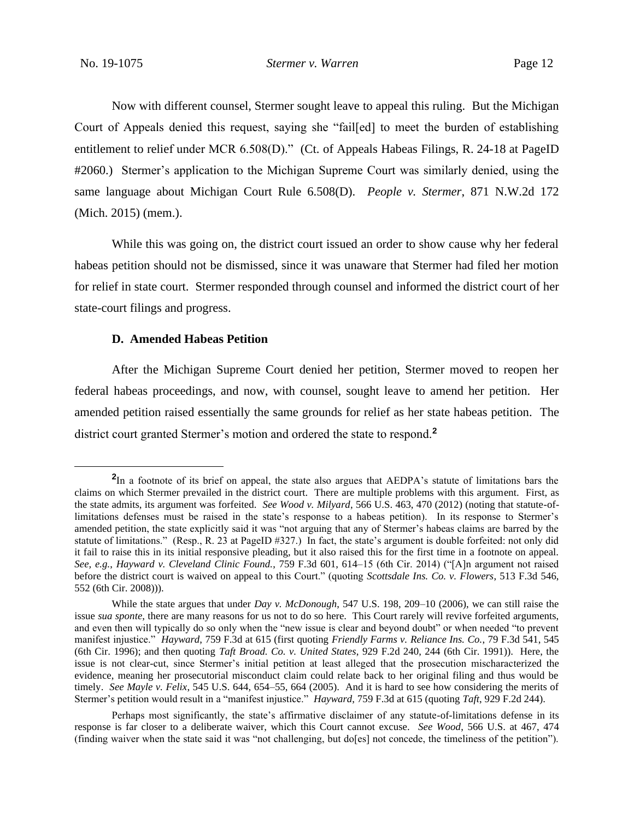Now with different counsel, Stermer sought leave to appeal this ruling. But the Michigan Court of Appeals denied this request, saying she "fail[ed] to meet the burden of establishing entitlement to relief under MCR 6.508(D)." (Ct. of Appeals Habeas Filings, R. 24-18 at PageID #2060.) Stermer's application to the Michigan Supreme Court was similarly denied, using the same language about Michigan Court Rule 6.508(D). *People v. Stermer*, 871 N.W.2d 172 (Mich. 2015) (mem.).

While this was going on, the district court issued an order to show cause why her federal habeas petition should not be dismissed, since it was unaware that Stermer had filed her motion for relief in state court. Stermer responded through counsel and informed the district court of her state-court filings and progress.

#### **D. Amended Habeas Petition**

After the Michigan Supreme Court denied her petition, Stermer moved to reopen her federal habeas proceedings, and now, with counsel, sought leave to amend her petition. Her amended petition raised essentially the same grounds for relief as her state habeas petition. The district court granted Stermer's motion and ordered the state to respond.**<sup>2</sup>**

**<sup>2</sup>** In a footnote of its brief on appeal, the state also argues that AEDPA's statute of limitations bars the claims on which Stermer prevailed in the district court. There are multiple problems with this argument. First, as the state admits, its argument was forfeited. *See Wood v. Milyard*, 566 U.S. 463, 470 (2012) (noting that statute-oflimitations defenses must be raised in the state's response to a habeas petition). In its response to Stermer's amended petition, the state explicitly said it was "not arguing that any of Stermer's habeas claims are barred by the statute of limitations." (Resp., R. 23 at PageID #327.) In fact, the state's argument is double forfeited: not only did it fail to raise this in its initial responsive pleading, but it also raised this for the first time in a footnote on appeal. *See, e.g.*, *Hayward v. Cleveland Clinic Found.*, 759 F.3d 601, 614–15 (6th Cir. 2014) ("[A]n argument not raised before the district court is waived on appeal to this Court." (quoting *Scottsdale Ins. Co. v. Flowers*, 513 F.3d 546, 552 (6th Cir. 2008))).

While the state argues that under *Day v. McDonough*, 547 U.S. 198, 209–10 (2006), we can still raise the issue *sua sponte*, there are many reasons for us not to do so here. This Court rarely will revive forfeited arguments, and even then will typically do so only when the "new issue is clear and beyond doubt" or when needed "to prevent manifest injustice." *Hayward*, 759 F.3d at 615 (first quoting *Friendly Farms v. Reliance Ins. Co.*, 79 F.3d 541, 545 (6th Cir. 1996); and then quoting *Taft Broad. Co. v. United States*, 929 F.2d 240, 244 (6th Cir. 1991)). Here, the issue is not clear-cut, since Stermer's initial petition at least alleged that the prosecution mischaracterized the evidence, meaning her prosecutorial misconduct claim could relate back to her original filing and thus would be timely. *See Mayle v. Felix*, 545 U.S. 644, 654–55, 664 (2005). And it is hard to see how considering the merits of Stermer's petition would result in a "manifest injustice." *Hayward*, 759 F.3d at 615 (quoting *Taft*, 929 F.2d 244).

Perhaps most significantly, the state's affirmative disclaimer of any statute-of-limitations defense in its response is far closer to a deliberate waiver, which this Court cannot excuse. *See Wood*, 566 U.S. at 467, 474 (finding waiver when the state said it was "not challenging, but do[es] not concede, the timeliness of the petition").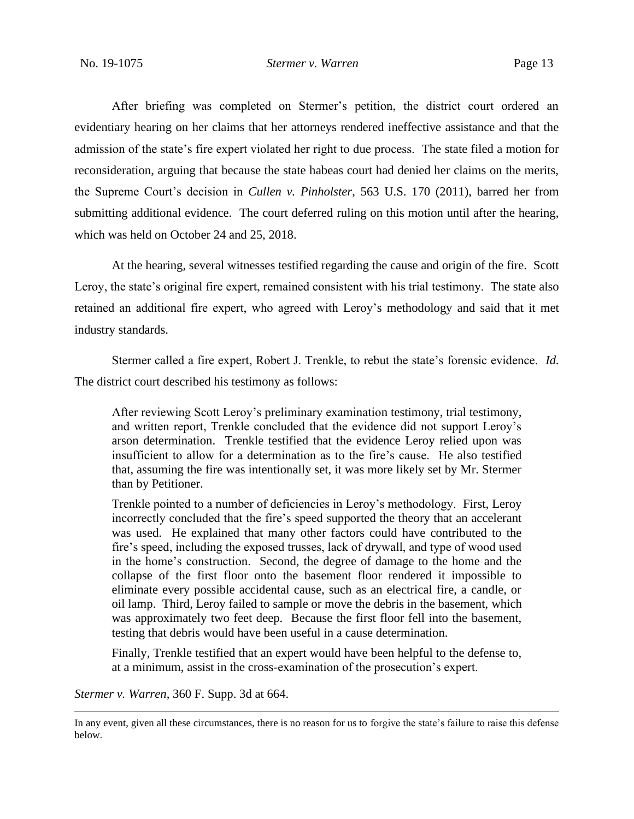After briefing was completed on Stermer's petition, the district court ordered an evidentiary hearing on her claims that her attorneys rendered ineffective assistance and that the admission of the state's fire expert violated her right to due process. The state filed a motion for reconsideration, arguing that because the state habeas court had denied her claims on the merits, the Supreme Court's decision in *Cullen v. Pinholster*, 563 U.S. 170 (2011), barred her from submitting additional evidence. The court deferred ruling on this motion until after the hearing, which was held on October 24 and 25, 2018.

At the hearing, several witnesses testified regarding the cause and origin of the fire. Scott Leroy, the state's original fire expert, remained consistent with his trial testimony. The state also retained an additional fire expert, who agreed with Leroy's methodology and said that it met industry standards.

Stermer called a fire expert, Robert J. Trenkle, to rebut the state's forensic evidence. *Id.* The district court described his testimony as follows:

After reviewing Scott Leroy's preliminary examination testimony, trial testimony, and written report, Trenkle concluded that the evidence did not support Leroy's arson determination. Trenkle testified that the evidence Leroy relied upon was insufficient to allow for a determination as to the fire's cause. He also testified that, assuming the fire was intentionally set, it was more likely set by Mr. Stermer than by Petitioner.

Trenkle pointed to a number of deficiencies in Leroy's methodology. First, Leroy incorrectly concluded that the fire's speed supported the theory that an accelerant was used. He explained that many other factors could have contributed to the fire's speed, including the exposed trusses, lack of drywall, and type of wood used in the home's construction. Second, the degree of damage to the home and the collapse of the first floor onto the basement floor rendered it impossible to eliminate every possible accidental cause, such as an electrical fire, a candle, or oil lamp. Third, Leroy failed to sample or move the debris in the basement, which was approximately two feet deep. Because the first floor fell into the basement, testing that debris would have been useful in a cause determination.

Finally, Trenkle testified that an expert would have been helpful to the defense to, at a minimum, assist in the cross-examination of the prosecution's expert.

*Stermer v. Warren*, 360 F. Supp. 3d at 664.

In any event, given all these circumstances, there is no reason for us to forgive the state's failure to raise this defense below.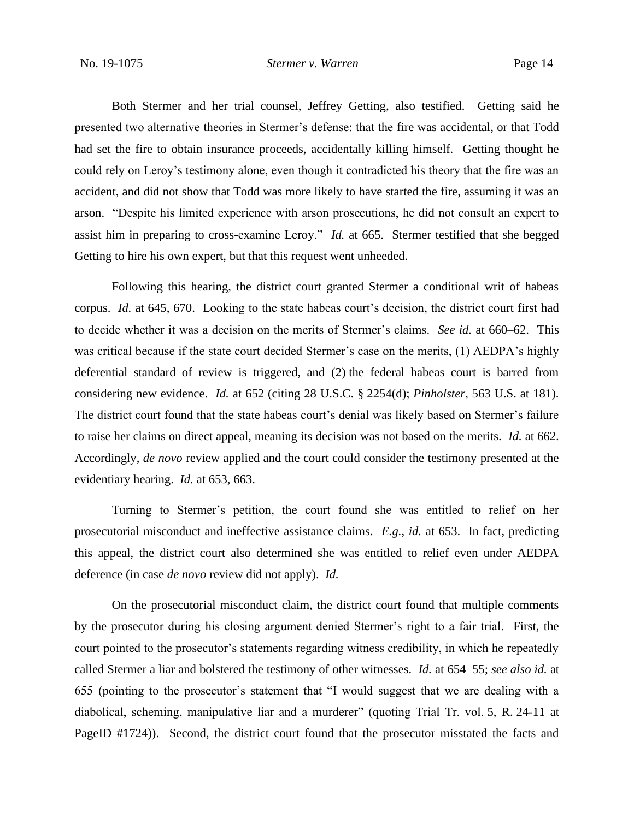Both Stermer and her trial counsel, Jeffrey Getting, also testified. Getting said he presented two alternative theories in Stermer's defense: that the fire was accidental, or that Todd had set the fire to obtain insurance proceeds, accidentally killing himself. Getting thought he could rely on Leroy's testimony alone, even though it contradicted his theory that the fire was an accident, and did not show that Todd was more likely to have started the fire, assuming it was an arson. "Despite his limited experience with arson prosecutions, he did not consult an expert to assist him in preparing to cross-examine Leroy." *Id.* at 665. Stermer testified that she begged Getting to hire his own expert, but that this request went unheeded.

Following this hearing, the district court granted Stermer a conditional writ of habeas corpus. *Id.* at 645, 670. Looking to the state habeas court's decision, the district court first had to decide whether it was a decision on the merits of Stermer's claims. *See id.* at 660–62. This was critical because if the state court decided Stermer's case on the merits, (1) AEDPA's highly deferential standard of review is triggered, and (2) the federal habeas court is barred from considering new evidence. *Id.* at 652 (citing 28 U.S.C. § 2254(d); *Pinholster*, 563 U.S. at 181). The district court found that the state habeas court's denial was likely based on Stermer's failure to raise her claims on direct appeal, meaning its decision was not based on the merits. *Id.* at 662. Accordingly, *de novo* review applied and the court could consider the testimony presented at the evidentiary hearing. *Id.* at 653, 663.

Turning to Stermer's petition, the court found she was entitled to relief on her prosecutorial misconduct and ineffective assistance claims. *E.g.*, *id.* at 653. In fact, predicting this appeal, the district court also determined she was entitled to relief even under AEDPA deference (in case *de novo* review did not apply). *Id.*

On the prosecutorial misconduct claim, the district court found that multiple comments by the prosecutor during his closing argument denied Stermer's right to a fair trial. First, the court pointed to the prosecutor's statements regarding witness credibility, in which he repeatedly called Stermer a liar and bolstered the testimony of other witnesses. *Id.* at 654–55; *see also id.* at 655 (pointing to the prosecutor's statement that "I would suggest that we are dealing with a diabolical, scheming, manipulative liar and a murderer" (quoting Trial Tr. vol. 5, R. 24-11 at PageID #1724)). Second, the district court found that the prosecutor misstated the facts and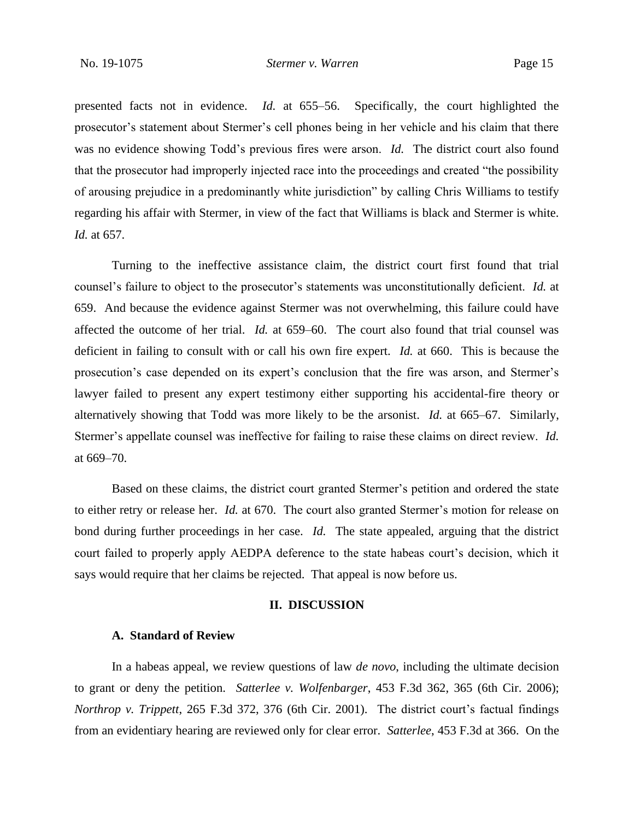presented facts not in evidence. *Id.* at 655–56. Specifically, the court highlighted the prosecutor's statement about Stermer's cell phones being in her vehicle and his claim that there was no evidence showing Todd's previous fires were arson. *Id.* The district court also found that the prosecutor had improperly injected race into the proceedings and created "the possibility of arousing prejudice in a predominantly white jurisdiction" by calling Chris Williams to testify regarding his affair with Stermer, in view of the fact that Williams is black and Stermer is white. *Id.* at 657.

Turning to the ineffective assistance claim, the district court first found that trial counsel's failure to object to the prosecutor's statements was unconstitutionally deficient. *Id.* at 659. And because the evidence against Stermer was not overwhelming, this failure could have affected the outcome of her trial. *Id.* at 659–60. The court also found that trial counsel was deficient in failing to consult with or call his own fire expert. *Id.* at 660. This is because the prosecution's case depended on its expert's conclusion that the fire was arson, and Stermer's lawyer failed to present any expert testimony either supporting his accidental-fire theory or alternatively showing that Todd was more likely to be the arsonist. *Id.* at 665–67. Similarly, Stermer's appellate counsel was ineffective for failing to raise these claims on direct review. *Id.* at 669–70.

Based on these claims, the district court granted Stermer's petition and ordered the state to either retry or release her. *Id.* at 670. The court also granted Stermer's motion for release on bond during further proceedings in her case. *Id.* The state appealed, arguing that the district court failed to properly apply AEDPA deference to the state habeas court's decision, which it says would require that her claims be rejected. That appeal is now before us.

#### **II. DISCUSSION**

#### **A. Standard of Review**

In a habeas appeal, we review questions of law *de novo*, including the ultimate decision to grant or deny the petition. *Satterlee v. Wolfenbarger*, 453 F.3d 362, 365 (6th Cir. 2006); *Northrop v. Trippett*, 265 F.3d 372, 376 (6th Cir. 2001). The district court's factual findings from an evidentiary hearing are reviewed only for clear error. *Satterlee*, 453 F.3d at 366. On the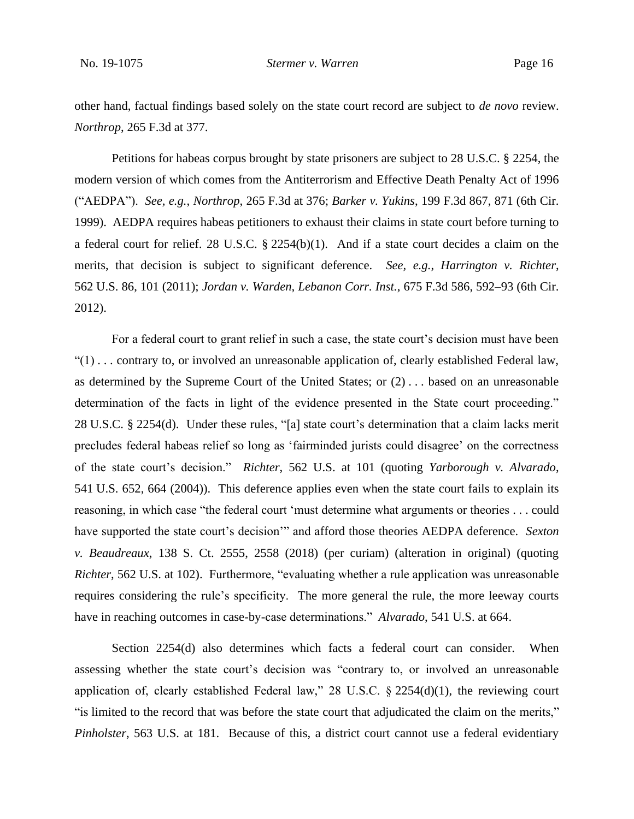other hand, factual findings based solely on the state court record are subject to *de novo* review. *Northrop*, 265 F.3d at 377.

Petitions for habeas corpus brought by state prisoners are subject to 28 U.S.C. § 2254, the modern version of which comes from the Antiterrorism and Effective Death Penalty Act of 1996 ("AEDPA"). *See, e.g.*, *Northrop*, 265 F.3d at 376; *Barker v. Yukins*, 199 F.3d 867, 871 (6th Cir. 1999). AEDPA requires habeas petitioners to exhaust their claims in state court before turning to a federal court for relief. 28 U.S.C. § 2254(b)(1). And if a state court decides a claim on the merits, that decision is subject to significant deference. *See, e.g.*, *Harrington v. Richter*, 562 U.S. 86, 101 (2011); *Jordan v. Warden, Lebanon Corr. Inst.*, 675 F.3d 586, 592–93 (6th Cir. 2012).

For a federal court to grant relief in such a case, the state court's decision must have been "(1) . . . contrary to, or involved an unreasonable application of, clearly established Federal law, as determined by the Supreme Court of the United States; or (2) . . . based on an unreasonable determination of the facts in light of the evidence presented in the State court proceeding." 28 U.S.C. § 2254(d). Under these rules, "[a] state court's determination that a claim lacks merit precludes federal habeas relief so long as 'fairminded jurists could disagree' on the correctness of the state court's decision." *Richter*, 562 U.S. at 101 (quoting *Yarborough v. Alvarado*, 541 U.S. 652, 664 (2004)). This deference applies even when the state court fails to explain its reasoning, in which case "the federal court 'must determine what arguments or theories . . . could have supported the state court's decision'" and afford those theories AEDPA deference. *Sexton v. Beaudreaux*, 138 S. Ct. 2555, 2558 (2018) (per curiam) (alteration in original) (quoting *Richter*, 562 U.S. at 102). Furthermore, "evaluating whether a rule application was unreasonable requires considering the rule's specificity. The more general the rule, the more leeway courts have in reaching outcomes in case-by-case determinations." *Alvarado*, 541 U.S. at 664.

Section 2254(d) also determines which facts a federal court can consider. When assessing whether the state court's decision was "contrary to, or involved an unreasonable application of, clearly established Federal law," 28 U.S.C.  $\S$  2254(d)(1), the reviewing court "is limited to the record that was before the state court that adjudicated the claim on the merits," *Pinholster*, 563 U.S. at 181. Because of this, a district court cannot use a federal evidentiary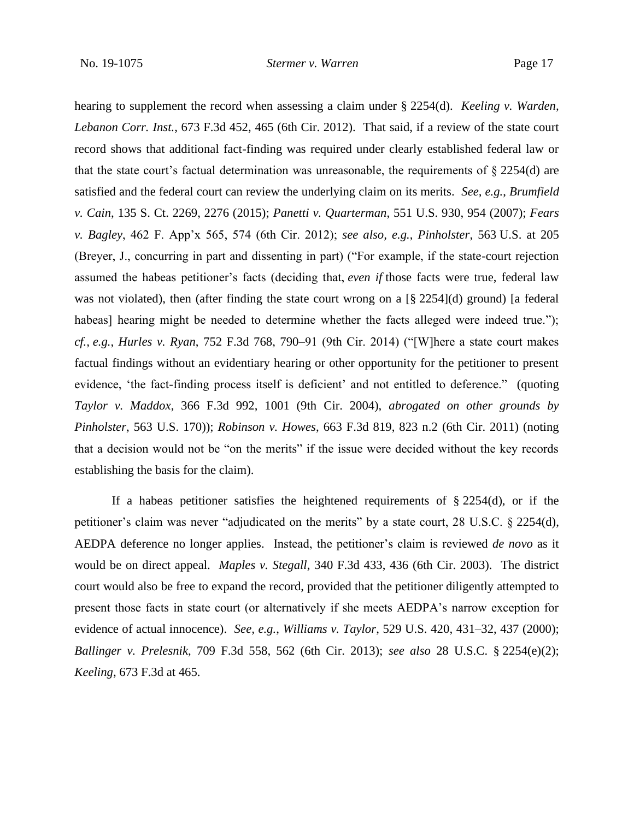hearing to supplement the record when assessing a claim under § 2254(d). *Keeling v. Warden, Lebanon Corr. Inst.*, 673 F.3d 452, 465 (6th Cir. 2012). That said, if a review of the state court record shows that additional fact-finding was required under clearly established federal law or that the state court's factual determination was unreasonable, the requirements of  $\S 2254(d)$  are satisfied and the federal court can review the underlying claim on its merits. *See, e.g.*, *Brumfield v. Cain*, 135 S. Ct. 2269, 2276 (2015); *Panetti v. Quarterman*, 551 U.S. 930, 954 (2007); *Fears v. Bagley*, 462 F. App'x 565, 574 (6th Cir. 2012); *see also, e.g.*, *Pinholster*, 563 U.S. at 205 (Breyer, J., concurring in part and dissenting in part) ("For example, if the state-court rejection assumed the habeas petitioner's facts (deciding that, *even if* those facts were true, federal law was not violated), then (after finding the state court wrong on a [§ 2254](d) ground) [a federal habeas] hearing might be needed to determine whether the facts alleged were indeed true."); *cf., e.g.*, *Hurles v. Ryan*, 752 F.3d 768, 790–91 (9th Cir. 2014) ("[W]here a state court makes factual findings without an evidentiary hearing or other opportunity for the petitioner to present evidence, 'the fact-finding process itself is deficient' and not entitled to deference." (quoting *Taylor v. Maddox*, 366 F.3d 992, 1001 (9th Cir. 2004), *abrogated on other grounds by Pinholster*, 563 U.S. 170)); *Robinson v. Howes*, 663 F.3d 819, 823 n.2 (6th Cir. 2011) (noting that a decision would not be "on the merits" if the issue were decided without the key records establishing the basis for the claim).

If a habeas petitioner satisfies the heightened requirements of  $\S 2254(d)$ , or if the petitioner's claim was never "adjudicated on the merits" by a state court, 28 U.S.C. § 2254(d), AEDPA deference no longer applies. Instead, the petitioner's claim is reviewed *de novo* as it would be on direct appeal. *Maples v. Stegall*, 340 F.3d 433, 436 (6th Cir. 2003). The district court would also be free to expand the record, provided that the petitioner diligently attempted to present those facts in state court (or alternatively if she meets AEDPA's narrow exception for evidence of actual innocence). *See, e.g.*, *Williams v. Taylor*, 529 U.S. 420, 431–32, 437 (2000); *Ballinger v. Prelesnik*, 709 F.3d 558, 562 (6th Cir. 2013); *see also* 28 U.S.C. § 2254(e)(2); *Keeling*, 673 F.3d at 465.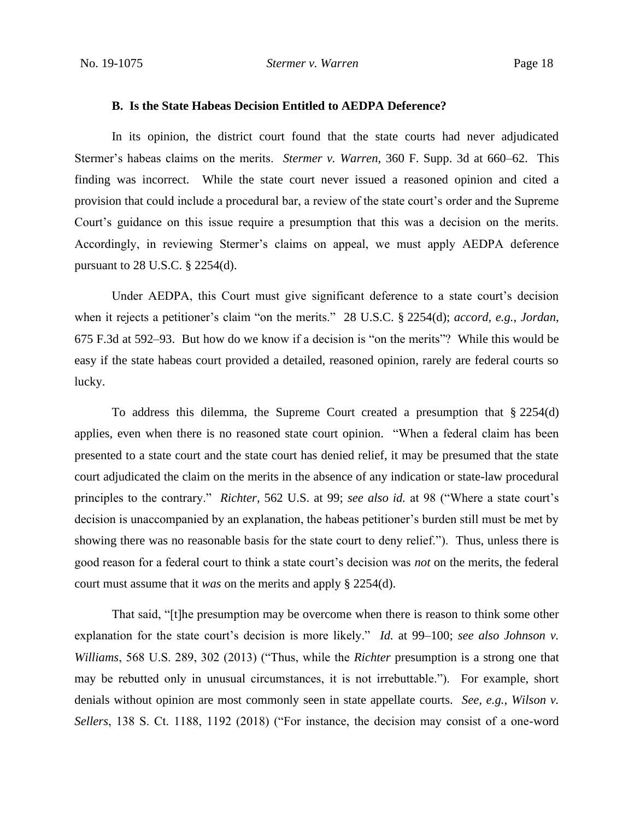#### **B. Is the State Habeas Decision Entitled to AEDPA Deference?**

In its opinion, the district court found that the state courts had never adjudicated Stermer's habeas claims on the merits. *Stermer v. Warren*, 360 F. Supp. 3d at 660–62. This finding was incorrect. While the state court never issued a reasoned opinion and cited a provision that could include a procedural bar, a review of the state court's order and the Supreme Court's guidance on this issue require a presumption that this was a decision on the merits. Accordingly, in reviewing Stermer's claims on appeal, we must apply AEDPA deference pursuant to 28 U.S.C. § 2254(d).

Under AEDPA, this Court must give significant deference to a state court's decision when it rejects a petitioner's claim "on the merits." 28 U.S.C. § 2254(d); *accord, e.g.*, *Jordan*, 675 F.3d at 592–93. But how do we know if a decision is "on the merits"? While this would be easy if the state habeas court provided a detailed, reasoned opinion, rarely are federal courts so lucky.

To address this dilemma, the Supreme Court created a presumption that § 2254(d) applies, even when there is no reasoned state court opinion. "When a federal claim has been presented to a state court and the state court has denied relief, it may be presumed that the state court adjudicated the claim on the merits in the absence of any indication or state-law procedural principles to the contrary." *Richter*, 562 U.S. at 99; *see also id.* at 98 ("Where a state court's decision is unaccompanied by an explanation, the habeas petitioner's burden still must be met by showing there was no reasonable basis for the state court to deny relief."). Thus, unless there is good reason for a federal court to think a state court's decision was *not* on the merits, the federal court must assume that it *was* on the merits and apply § 2254(d).

That said, "[t]he presumption may be overcome when there is reason to think some other explanation for the state court's decision is more likely." *Id.* at 99–100; *see also Johnson v. Williams*, 568 U.S. 289, 302 (2013) ("Thus, while the *Richter* presumption is a strong one that may be rebutted only in unusual circumstances, it is not irrebuttable."). For example, short denials without opinion are most commonly seen in state appellate courts. *See, e.g.*, *Wilson v. Sellers*, 138 S. Ct. 1188, 1192 (2018) ("For instance, the decision may consist of a one-word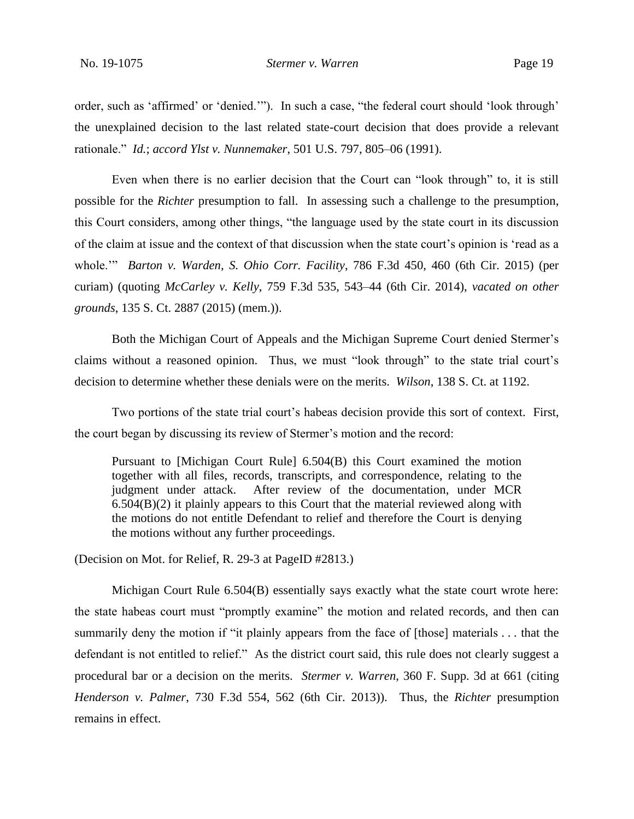order, such as 'affirmed' or 'denied.'"). In such a case, "the federal court should 'look through' the unexplained decision to the last related state-court decision that does provide a relevant rationale." *Id.*; *accord Ylst v. Nunnemaker*, 501 U.S. 797, 805–06 (1991).

Even when there is no earlier decision that the Court can "look through" to, it is still possible for the *Richter* presumption to fall. In assessing such a challenge to the presumption, this Court considers, among other things, "the language used by the state court in its discussion of the claim at issue and the context of that discussion when the state court's opinion is 'read as a whole.'" *Barton v. Warden, S. Ohio Corr. Facility*, 786 F.3d 450, 460 (6th Cir. 2015) (per curiam) (quoting *McCarley v. Kelly*, 759 F.3d 535, 543–44 (6th Cir. 2014), *vacated on other grounds*, 135 S. Ct. 2887 (2015) (mem.)).

Both the Michigan Court of Appeals and the Michigan Supreme Court denied Stermer's claims without a reasoned opinion. Thus, we must "look through" to the state trial court's decision to determine whether these denials were on the merits. *Wilson*, 138 S. Ct. at 1192.

Two portions of the state trial court's habeas decision provide this sort of context. First, the court began by discussing its review of Stermer's motion and the record:

Pursuant to [Michigan Court Rule] 6.504(B) this Court examined the motion together with all files, records, transcripts, and correspondence, relating to the judgment under attack. After review of the documentation, under MCR 6.504(B)(2) it plainly appears to this Court that the material reviewed along with the motions do not entitle Defendant to relief and therefore the Court is denying the motions without any further proceedings.

(Decision on Mot. for Relief, R. 29-3 at PageID #2813.)

Michigan Court Rule 6.504(B) essentially says exactly what the state court wrote here: the state habeas court must "promptly examine" the motion and related records, and then can summarily deny the motion if "it plainly appears from the face of [those] materials . . . that the defendant is not entitled to relief." As the district court said, this rule does not clearly suggest a procedural bar or a decision on the merits. *Stermer v. Warren*, 360 F. Supp. 3d at 661 (citing *Henderson v. Palmer*, 730 F.3d 554, 562 (6th Cir. 2013)). Thus, the *Richter* presumption remains in effect.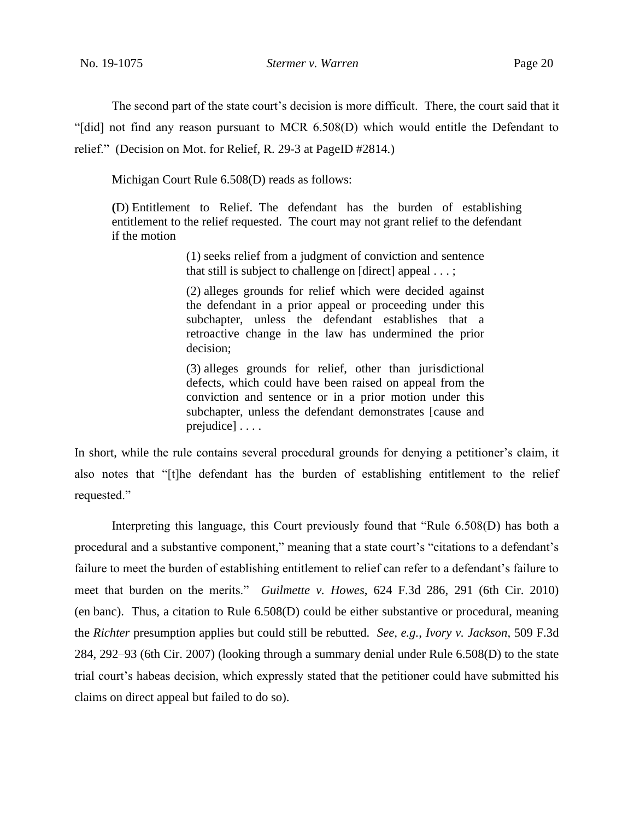The second part of the state court's decision is more difficult. There, the court said that it "[did] not find any reason pursuant to MCR 6.508(D) which would entitle the Defendant to relief." (Decision on Mot. for Relief, R. 29-3 at PageID #2814.)

Michigan Court Rule 6.508(D) reads as follows:

**(**D) Entitlement to Relief. The defendant has the burden of establishing entitlement to the relief requested. The court may not grant relief to the defendant if the motion

> (1) seeks relief from a judgment of conviction and sentence that still is subject to challenge on [direct] appeal . . . ;

> (2) alleges grounds for relief which were decided against the defendant in a prior appeal or proceeding under this subchapter, unless the defendant establishes that a retroactive change in the law has undermined the prior decision;

> (3) alleges grounds for relief, other than jurisdictional defects, which could have been raised on appeal from the conviction and sentence or in a prior motion under this subchapter, unless the defendant demonstrates [cause and prejudice] . . . .

In short, while the rule contains several procedural grounds for denying a petitioner's claim, it also notes that "[t]he defendant has the burden of establishing entitlement to the relief requested."

Interpreting this language, this Court previously found that "Rule 6.508(D) has both a procedural and a substantive component," meaning that a state court's "citations to a defendant's failure to meet the burden of establishing entitlement to relief can refer to a defendant's failure to meet that burden on the merits." *Guilmette v. Howes*, 624 F.3d 286, 291 (6th Cir. 2010) (en banc). Thus, a citation to Rule 6.508(D) could be either substantive or procedural, meaning the *Richter* presumption applies but could still be rebutted. *See, e.g.*, *Ivory v. Jackson*, 509 F.3d 284, 292–93 (6th Cir. 2007) (looking through a summary denial under Rule 6.508(D) to the state trial court's habeas decision, which expressly stated that the petitioner could have submitted his claims on direct appeal but failed to do so).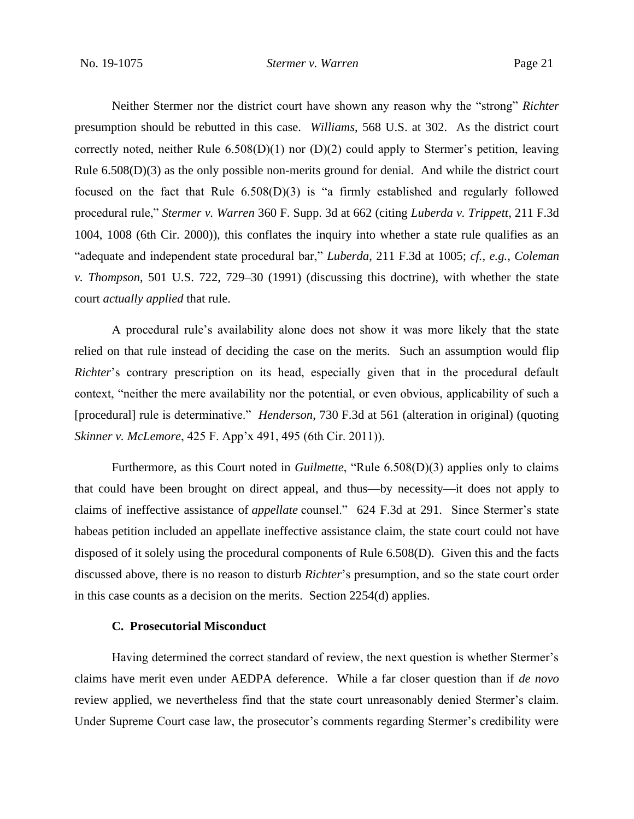Neither Stermer nor the district court have shown any reason why the "strong" *Richter* presumption should be rebutted in this case. *Williams*, 568 U.S. at 302. As the district court correctly noted, neither Rule 6.508(D)(1) nor (D)(2) could apply to Stermer's petition, leaving Rule 6.508(D)(3) as the only possible non-merits ground for denial. And while the district court focused on the fact that Rule 6.508(D)(3) is "a firmly established and regularly followed procedural rule," *Stermer v. Warren* 360 F. Supp. 3d at 662 (citing *Luberda v. Trippett*, 211 F.3d 1004, 1008 (6th Cir. 2000)), this conflates the inquiry into whether a state rule qualifies as an "adequate and independent state procedural bar," *Luberda*, 211 F.3d at 1005; *cf., e.g.*, *Coleman v. Thompson*, 501 U.S. 722, 729–30 (1991) (discussing this doctrine), with whether the state court *actually applied* that rule.

A procedural rule's availability alone does not show it was more likely that the state relied on that rule instead of deciding the case on the merits. Such an assumption would flip *Richter*'s contrary prescription on its head, especially given that in the procedural default context, "neither the mere availability nor the potential, or even obvious, applicability of such a [procedural] rule is determinative." *Henderson*, 730 F.3d at 561 (alteration in original) (quoting *Skinner v. McLemore*, 425 F. App'x 491, 495 (6th Cir. 2011)).

Furthermore, as this Court noted in *Guilmette*, "Rule 6.508(D)(3) applies only to claims that could have been brought on direct appeal, and thus—by necessity—it does not apply to claims of ineffective assistance of *appellate* counsel." 624 F.3d at 291. Since Stermer's state habeas petition included an appellate ineffective assistance claim, the state court could not have disposed of it solely using the procedural components of Rule 6.508(D). Given this and the facts discussed above, there is no reason to disturb *Richter*'s presumption, and so the state court order in this case counts as a decision on the merits. Section 2254(d) applies.

## **C. Prosecutorial Misconduct**

Having determined the correct standard of review, the next question is whether Stermer's claims have merit even under AEDPA deference. While a far closer question than if *de novo* review applied, we nevertheless find that the state court unreasonably denied Stermer's claim. Under Supreme Court case law, the prosecutor's comments regarding Stermer's credibility were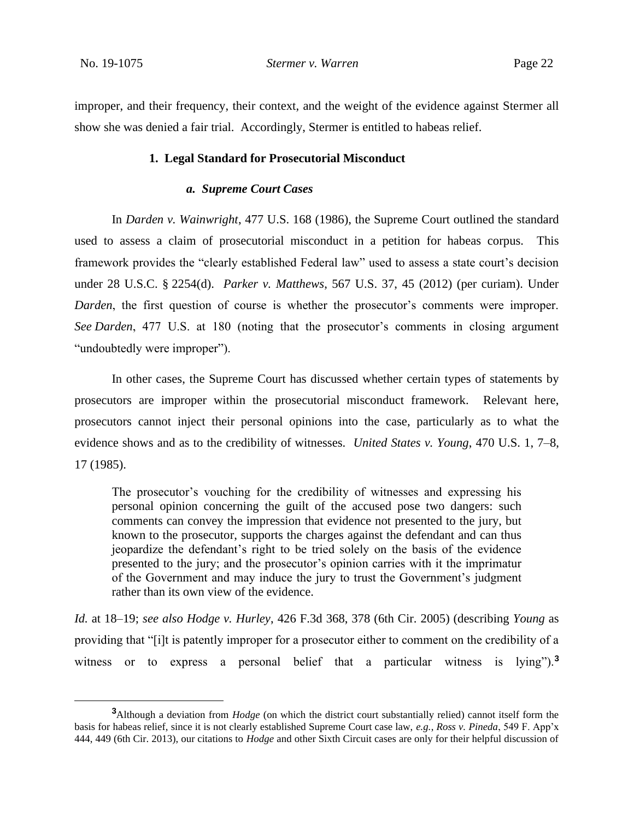improper, and their frequency, their context, and the weight of the evidence against Stermer all show she was denied a fair trial. Accordingly, Stermer is entitled to habeas relief.

#### **1. Legal Standard for Prosecutorial Misconduct**

### *a. Supreme Court Cases*

In *Darden v. Wainwright*, 477 U.S. 168 (1986), the Supreme Court outlined the standard used to assess a claim of prosecutorial misconduct in a petition for habeas corpus. This framework provides the "clearly established Federal law" used to assess a state court's decision under 28 U.S.C. § 2254(d). *Parker v. Matthews*, 567 U.S. 37, 45 (2012) (per curiam). Under *Darden*, the first question of course is whether the prosecutor's comments were improper. *See Darden*, 477 U.S. at 180 (noting that the prosecutor's comments in closing argument "undoubtedly were improper").

In other cases, the Supreme Court has discussed whether certain types of statements by prosecutors are improper within the prosecutorial misconduct framework. Relevant here, prosecutors cannot inject their personal opinions into the case, particularly as to what the evidence shows and as to the credibility of witnesses. *United States v. Young*, 470 U.S. 1, 7–8, 17 (1985).

The prosecutor's vouching for the credibility of witnesses and expressing his personal opinion concerning the guilt of the accused pose two dangers: such comments can convey the impression that evidence not presented to the jury, but known to the prosecutor, supports the charges against the defendant and can thus jeopardize the defendant's right to be tried solely on the basis of the evidence presented to the jury; and the prosecutor's opinion carries with it the imprimatur of the Government and may induce the jury to trust the Government's judgment rather than its own view of the evidence.

*Id.* at 18–19; *see also Hodge v. Hurley*, 426 F.3d 368, 378 (6th Cir. 2005) (describing *Young* as providing that "[i]t is patently improper for a prosecutor either to comment on the credibility of a witness or to express a personal belief that a particular witness is lying").**<sup>3</sup>**

**<sup>3</sup>**Although a deviation from *Hodge* (on which the district court substantially relied) cannot itself form the basis for habeas relief, since it is not clearly established Supreme Court case law, *e.g.*, *Ross v. Pineda*, 549 F. App'x 444, 449 (6th Cir. 2013), our citations to *Hodge* and other Sixth Circuit cases are only for their helpful discussion of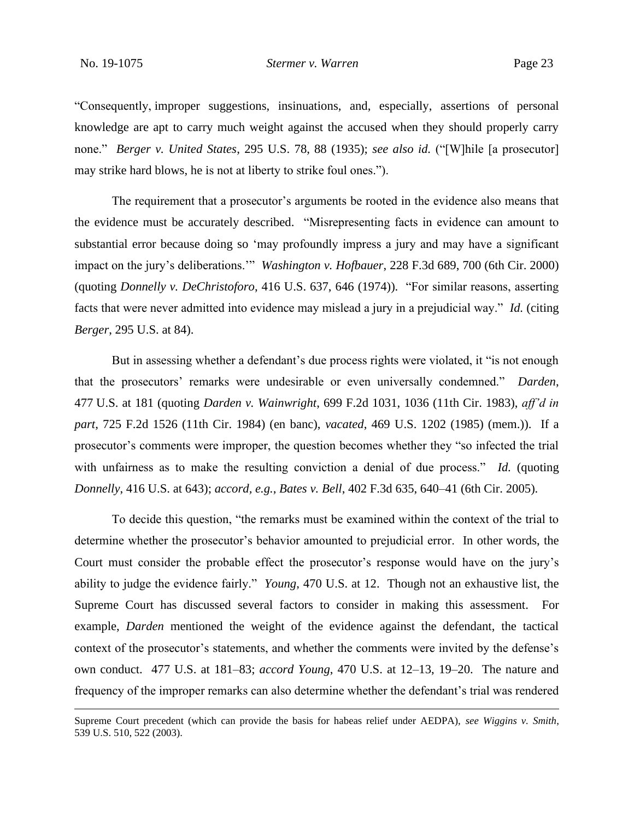"Consequently, improper suggestions, insinuations, and, especially, assertions of personal knowledge are apt to carry much weight against the accused when they should properly carry none." *Berger v. United States*, 295 U.S. 78, 88 (1935); *see also id.* ("[W]hile [a prosecutor] may strike hard blows, he is not at liberty to strike foul ones.").

The requirement that a prosecutor's arguments be rooted in the evidence also means that the evidence must be accurately described. "Misrepresenting facts in evidence can amount to substantial error because doing so 'may profoundly impress a jury and may have a significant impact on the jury's deliberations.'" *Washington v. Hofbauer*, 228 F.3d 689, 700 (6th Cir. 2000) (quoting *Donnelly v. DeChristoforo*, 416 U.S. 637, 646 (1974)). "For similar reasons, asserting facts that were never admitted into evidence may mislead a jury in a prejudicial way." *Id.* (citing *Berger*, 295 U.S. at 84).

But in assessing whether a defendant's due process rights were violated, it "is not enough that the prosecutors' remarks were undesirable or even universally condemned." *Darden*, 477 U.S. at 181 (quoting *Darden v. Wainwright*, 699 F.2d 1031, 1036 (11th Cir. 1983), *aff'd in part*, 725 F.2d 1526 (11th Cir. 1984) (en banc), *vacated*, 469 U.S. 1202 (1985) (mem.)). If a prosecutor's comments were improper, the question becomes whether they "so infected the trial with unfairness as to make the resulting conviction a denial of due process." *Id.* (quoting *Donnelly*, 416 U.S. at 643); *accord, e.g.*, *Bates v. Bell*, 402 F.3d 635, 640–41 (6th Cir. 2005).

To decide this question, "the remarks must be examined within the context of the trial to determine whether the prosecutor's behavior amounted to prejudicial error. In other words, the Court must consider the probable effect the prosecutor's response would have on the jury's ability to judge the evidence fairly." *Young*, 470 U.S. at 12. Though not an exhaustive list, the Supreme Court has discussed several factors to consider in making this assessment. For example, *Darden* mentioned the weight of the evidence against the defendant, the tactical context of the prosecutor's statements, and whether the comments were invited by the defense's own conduct. 477 U.S. at 181–83; *accord Young*, 470 U.S. at 12–13, 19–20. The nature and frequency of the improper remarks can also determine whether the defendant's trial was rendered

Supreme Court precedent (which can provide the basis for habeas relief under AEDPA), *see Wiggins v. Smith*, 539 U.S. 510, 522 (2003).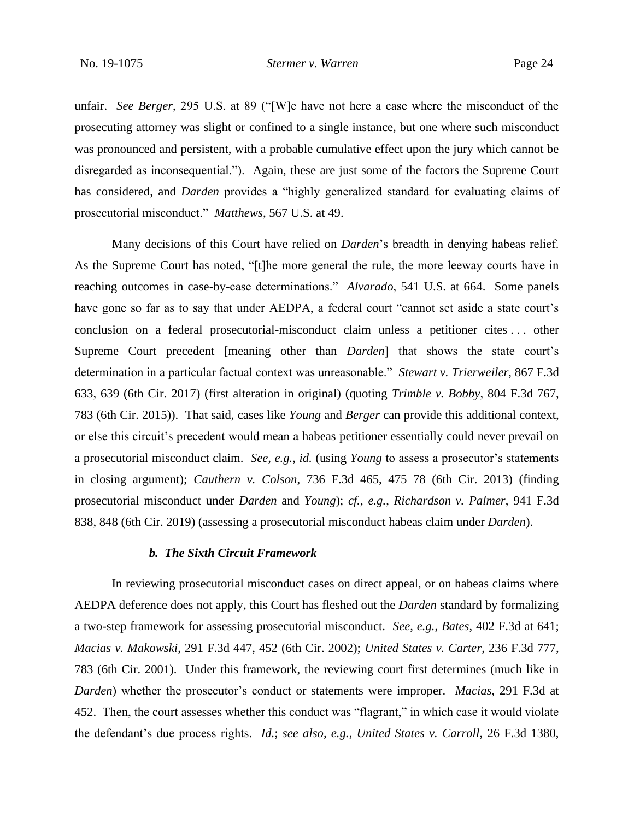unfair. *See Berger*, 295 U.S. at 89 ("[W]e have not here a case where the misconduct of the prosecuting attorney was slight or confined to a single instance, but one where such misconduct was pronounced and persistent, with a probable cumulative effect upon the jury which cannot be disregarded as inconsequential."). Again, these are just some of the factors the Supreme Court has considered, and *Darden* provides a "highly generalized standard for evaluating claims of prosecutorial misconduct." *Matthews*, 567 U.S. at 49.

Many decisions of this Court have relied on *Darden*'s breadth in denying habeas relief. As the Supreme Court has noted, "[t]he more general the rule, the more leeway courts have in reaching outcomes in case-by-case determinations." *Alvarado*, 541 U.S. at 664. Some panels have gone so far as to say that under AEDPA, a federal court "cannot set aside a state court's conclusion on a federal prosecutorial-misconduct claim unless a petitioner cites . . . other Supreme Court precedent [meaning other than *Darden*] that shows the state court's determination in a particular factual context was unreasonable." *Stewart v. Trierweiler*, 867 F.3d 633, 639 (6th Cir. 2017) (first alteration in original) (quoting *Trimble v. Bobby*, 804 F.3d 767, 783 (6th Cir. 2015)). That said, cases like *Young* and *Berger* can provide this additional context, or else this circuit's precedent would mean a habeas petitioner essentially could never prevail on a prosecutorial misconduct claim. *See, e.g.*, *id.* (using *Young* to assess a prosecutor's statements in closing argument); *Cauthern v. Colson*, 736 F.3d 465, 475–78 (6th Cir. 2013) (finding prosecutorial misconduct under *Darden* and *Young*); *cf., e.g.*, *Richardson v. Palmer*, 941 F.3d 838, 848 (6th Cir. 2019) (assessing a prosecutorial misconduct habeas claim under *Darden*).

## *b. The Sixth Circuit Framework*

In reviewing prosecutorial misconduct cases on direct appeal, or on habeas claims where AEDPA deference does not apply, this Court has fleshed out the *Darden* standard by formalizing a two-step framework for assessing prosecutorial misconduct. *See, e.g.*, *Bates*, 402 F.3d at 641; *Macias v. Makowski*, 291 F.3d 447, 452 (6th Cir. 2002); *United States v. Carter*, 236 F.3d 777, 783 (6th Cir. 2001). Under this framework, the reviewing court first determines (much like in *Darden*) whether the prosecutor's conduct or statements were improper. *Macias*, 291 F.3d at 452. Then, the court assesses whether this conduct was "flagrant," in which case it would violate the defendant's due process rights. *Id.*; *see also, e.g.*, *United States v. Carroll*, 26 F.3d 1380,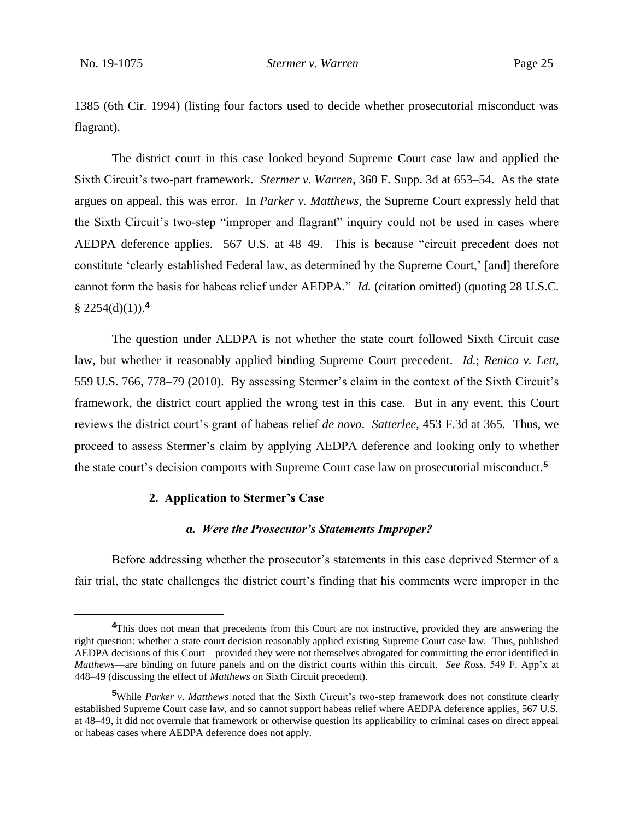1385 (6th Cir. 1994) (listing four factors used to decide whether prosecutorial misconduct was flagrant).

The district court in this case looked beyond Supreme Court case law and applied the Sixth Circuit's two-part framework. *Stermer v. Warren*, 360 F. Supp. 3d at 653–54. As the state argues on appeal, this was error. In *Parker v. Matthews*, the Supreme Court expressly held that the Sixth Circuit's two-step "improper and flagrant" inquiry could not be used in cases where AEDPA deference applies. 567 U.S. at 48–49. This is because "circuit precedent does not constitute 'clearly established Federal law, as determined by the Supreme Court,' [and] therefore cannot form the basis for habeas relief under AEDPA." *Id.* (citation omitted) (quoting 28 U.S.C.  $§$  2254(d)(1)).<sup>4</sup>

The question under AEDPA is not whether the state court followed Sixth Circuit case law, but whether it reasonably applied binding Supreme Court precedent. *Id.*; *Renico v. Lett*, 559 U.S. 766, 778–79 (2010). By assessing Stermer's claim in the context of the Sixth Circuit's framework, the district court applied the wrong test in this case. But in any event, this Court reviews the district court's grant of habeas relief *de novo*. *Satterlee*, 453 F.3d at 365. Thus, we proceed to assess Stermer's claim by applying AEDPA deference and looking only to whether the state court's decision comports with Supreme Court case law on prosecutorial misconduct.**<sup>5</sup>**

## **2. Application to Stermer's Case**

#### *a. Were the Prosecutor's Statements Improper?*

Before addressing whether the prosecutor's statements in this case deprived Stermer of a fair trial, the state challenges the district court's finding that his comments were improper in the

<sup>&</sup>lt;sup>4</sup>This does not mean that precedents from this Court are not instructive, provided they are answering the right question: whether a state court decision reasonably applied existing Supreme Court case law. Thus, published AEDPA decisions of this Court—provided they were not themselves abrogated for committing the error identified in *Matthews*—are binding on future panels and on the district courts within this circuit. *See Ross*, 549 F. App'x at 448–49 (discussing the effect of *Matthews* on Sixth Circuit precedent).

**<sup>5</sup>**While *Parker v. Matthews* noted that the Sixth Circuit's two-step framework does not constitute clearly established Supreme Court case law, and so cannot support habeas relief where AEDPA deference applies, 567 U.S. at 48–49, it did not overrule that framework or otherwise question its applicability to criminal cases on direct appeal or habeas cases where AEDPA deference does not apply.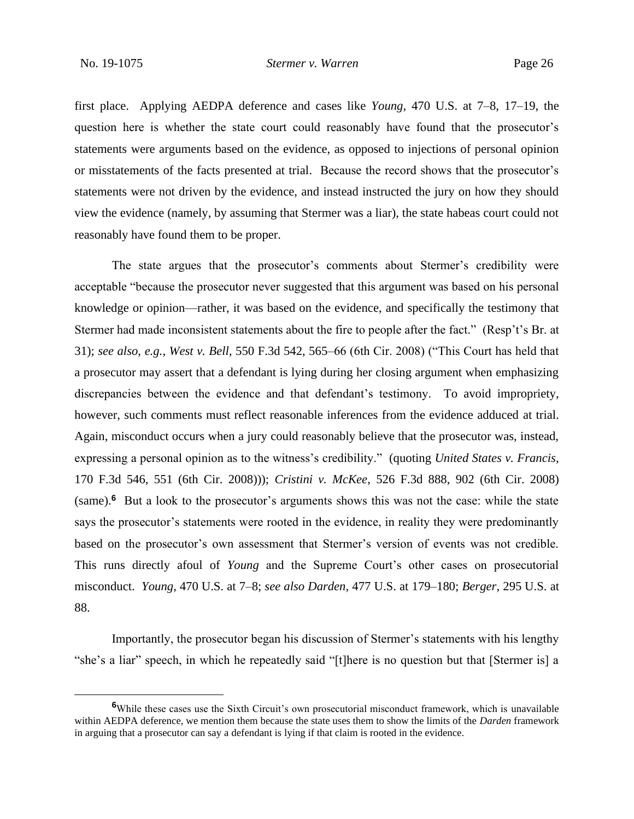first place. Applying AEDPA deference and cases like *Young*, 470 U.S. at 7–8, 17–19, the question here is whether the state court could reasonably have found that the prosecutor's statements were arguments based on the evidence, as opposed to injections of personal opinion or misstatements of the facts presented at trial. Because the record shows that the prosecutor's statements were not driven by the evidence, and instead instructed the jury on how they should view the evidence (namely, by assuming that Stermer was a liar), the state habeas court could not reasonably have found them to be proper.

The state argues that the prosecutor's comments about Stermer's credibility were acceptable "because the prosecutor never suggested that this argument was based on his personal knowledge or opinion—rather, it was based on the evidence, and specifically the testimony that Stermer had made inconsistent statements about the fire to people after the fact." (Resp't's Br. at 31); *see also, e.g.*, *West v. Bell*, 550 F.3d 542, 565–66 (6th Cir. 2008) ("This Court has held that a prosecutor may assert that a defendant is lying during her closing argument when emphasizing discrepancies between the evidence and that defendant's testimony. To avoid impropriety, however, such comments must reflect reasonable inferences from the evidence adduced at trial. Again, misconduct occurs when a jury could reasonably believe that the prosecutor was, instead, expressing a personal opinion as to the witness's credibility." (quoting *United States v. Francis*, 170 F.3d 546, 551 (6th Cir. 2008))); *Cristini v. McKee*, 526 F.3d 888, 902 (6th Cir. 2008) (same).**<sup>6</sup>** But a look to the prosecutor's arguments shows this was not the case: while the state says the prosecutor's statements were rooted in the evidence, in reality they were predominantly based on the prosecutor's own assessment that Stermer's version of events was not credible. This runs directly afoul of *Young* and the Supreme Court's other cases on prosecutorial misconduct. *Young*, 470 U.S. at 7–8; *see also Darden*, 477 U.S. at 179–180; *Berger*, 295 U.S. at 88.

Importantly, the prosecutor began his discussion of Stermer's statements with his lengthy "she's a liar" speech, in which he repeatedly said "[t]here is no question but that [Stermer is] a

**<sup>6</sup>**While these cases use the Sixth Circuit's own prosecutorial misconduct framework, which is unavailable within AEDPA deference, we mention them because the state uses them to show the limits of the *Darden* framework in arguing that a prosecutor can say a defendant is lying if that claim is rooted in the evidence.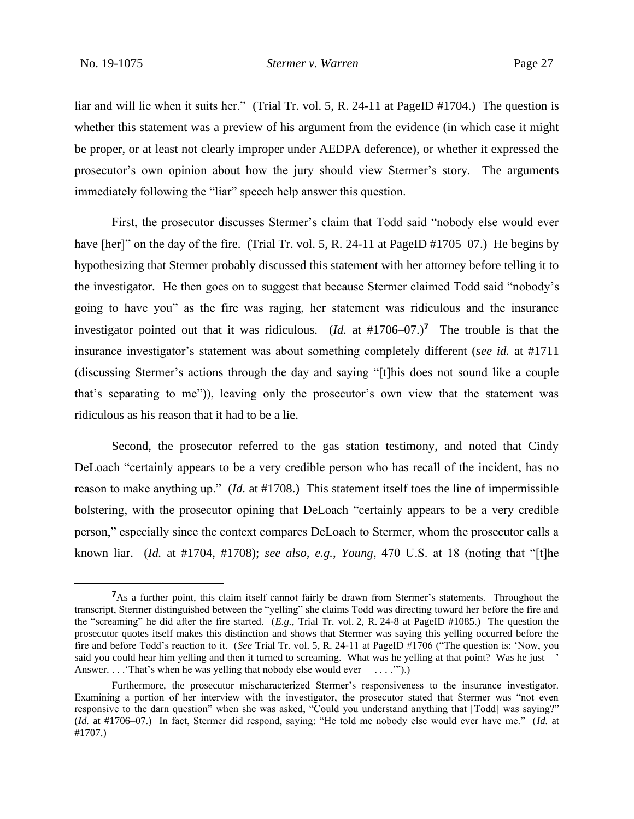liar and will lie when it suits her." (Trial Tr. vol. 5, R. 24-11 at PageID #1704.) The question is whether this statement was a preview of his argument from the evidence (in which case it might be proper, or at least not clearly improper under AEDPA deference), or whether it expressed the prosecutor's own opinion about how the jury should view Stermer's story. The arguments immediately following the "liar" speech help answer this question.

First, the prosecutor discusses Stermer's claim that Todd said "nobody else would ever have [her]" on the day of the fire. (Trial Tr. vol. 5, R. 24-11 at PageID #1705–07.) He begins by hypothesizing that Stermer probably discussed this statement with her attorney before telling it to the investigator. He then goes on to suggest that because Stermer claimed Todd said "nobody's going to have you" as the fire was raging, her statement was ridiculous and the insurance investigator pointed out that it was ridiculous. (*Id.* at  $\#1706-07$ .)<sup>7</sup> The trouble is that the insurance investigator's statement was about something completely different (*see id.* at #1711 (discussing Stermer's actions through the day and saying "[t]his does not sound like a couple that's separating to me")), leaving only the prosecutor's own view that the statement was ridiculous as his reason that it had to be a lie.

Second, the prosecutor referred to the gas station testimony, and noted that Cindy DeLoach "certainly appears to be a very credible person who has recall of the incident, has no reason to make anything up." (*Id.* at #1708.) This statement itself toes the line of impermissible bolstering, with the prosecutor opining that DeLoach "certainly appears to be a very credible person," especially since the context compares DeLoach to Stermer, whom the prosecutor calls a known liar. (*Id.* at #1704, #1708); *see also, e.g.*, *Young*, 470 U.S. at 18 (noting that "[t]he

<sup>&</sup>lt;sup>7</sup>As a further point, this claim itself cannot fairly be drawn from Stermer's statements. Throughout the transcript, Stermer distinguished between the "yelling" she claims Todd was directing toward her before the fire and the "screaming" he did after the fire started. (*E.g.*, Trial Tr. vol. 2, R. 24-8 at PageID #1085.) The question the prosecutor quotes itself makes this distinction and shows that Stermer was saying this yelling occurred before the fire and before Todd's reaction to it. (*See* Trial Tr. vol. 5, R. 24-11 at PageID #1706 ("The question is: 'Now, you said you could hear him yelling and then it turned to screaming. What was he yelling at that point? Was he just—' Answer. . . . 'That's when he was yelling that nobody else would ever— . . . .'").

Furthermore, the prosecutor mischaracterized Stermer's responsiveness to the insurance investigator. Examining a portion of her interview with the investigator, the prosecutor stated that Stermer was "not even responsive to the darn question" when she was asked, "Could you understand anything that [Todd] was saying?" (*Id.* at #1706–07.) In fact, Stermer did respond, saying: "He told me nobody else would ever have me." (*Id.* at #1707.)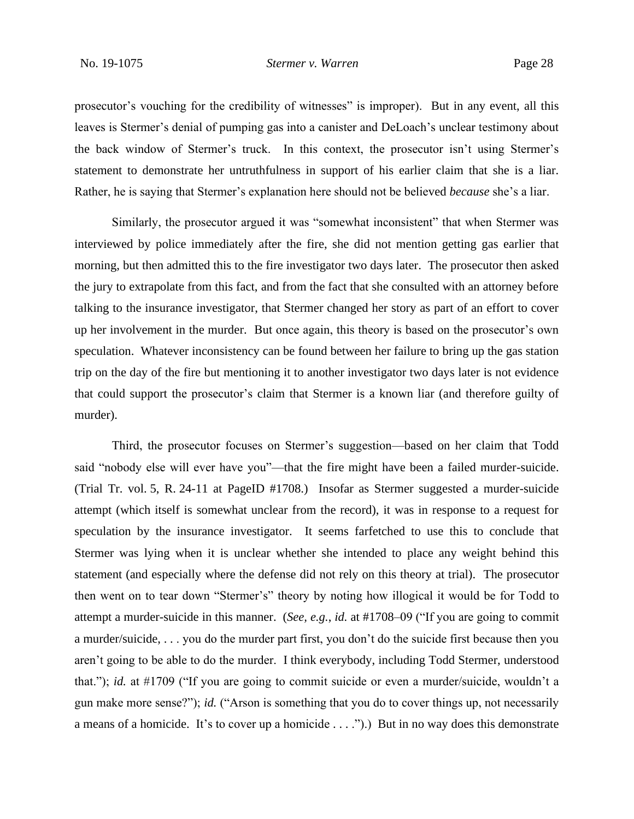prosecutor's vouching for the credibility of witnesses" is improper). But in any event, all this leaves is Stermer's denial of pumping gas into a canister and DeLoach's unclear testimony about the back window of Stermer's truck. In this context, the prosecutor isn't using Stermer's statement to demonstrate her untruthfulness in support of his earlier claim that she is a liar. Rather, he is saying that Stermer's explanation here should not be believed *because* she's a liar.

Similarly, the prosecutor argued it was "somewhat inconsistent" that when Stermer was interviewed by police immediately after the fire, she did not mention getting gas earlier that morning, but then admitted this to the fire investigator two days later. The prosecutor then asked the jury to extrapolate from this fact, and from the fact that she consulted with an attorney before talking to the insurance investigator, that Stermer changed her story as part of an effort to cover up her involvement in the murder. But once again, this theory is based on the prosecutor's own speculation. Whatever inconsistency can be found between her failure to bring up the gas station trip on the day of the fire but mentioning it to another investigator two days later is not evidence that could support the prosecutor's claim that Stermer is a known liar (and therefore guilty of murder).

Third, the prosecutor focuses on Stermer's suggestion—based on her claim that Todd said "nobody else will ever have you"—that the fire might have been a failed murder-suicide. (Trial Tr. vol. 5, R. 24-11 at PageID #1708.) Insofar as Stermer suggested a murder-suicide attempt (which itself is somewhat unclear from the record), it was in response to a request for speculation by the insurance investigator. It seems farfetched to use this to conclude that Stermer was lying when it is unclear whether she intended to place any weight behind this statement (and especially where the defense did not rely on this theory at trial). The prosecutor then went on to tear down "Stermer's" theory by noting how illogical it would be for Todd to attempt a murder-suicide in this manner. (*See, e.g.*, *id.* at #1708–09 ("If you are going to commit a murder/suicide, . . . you do the murder part first, you don't do the suicide first because then you aren't going to be able to do the murder. I think everybody, including Todd Stermer, understood that."); *id.* at #1709 ("If you are going to commit suicide or even a murder/suicide, wouldn't a gun make more sense?"); *id.* ("Arson is something that you do to cover things up, not necessarily a means of a homicide. It's to cover up a homicide . . . .").) But in no way does this demonstrate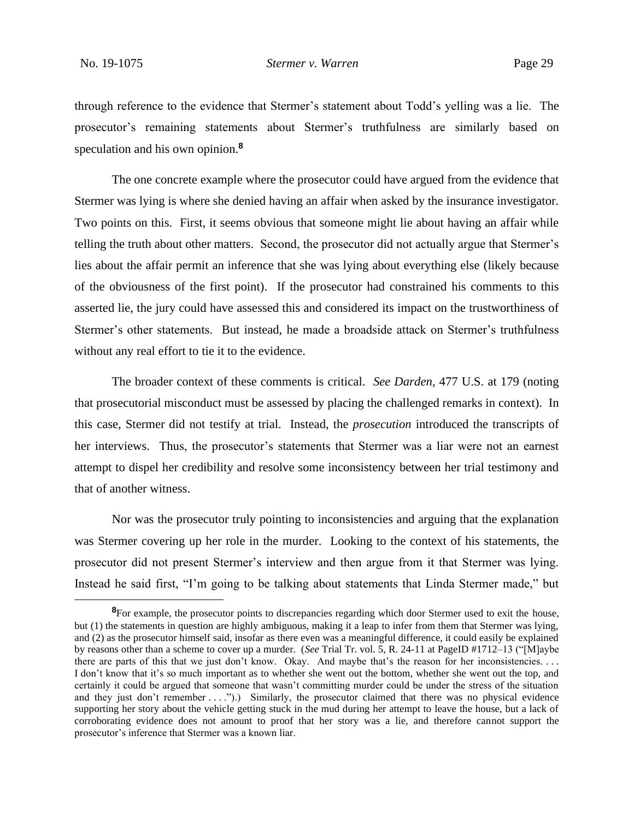through reference to the evidence that Stermer's statement about Todd's yelling was a lie. The prosecutor's remaining statements about Stermer's truthfulness are similarly based on speculation and his own opinion.**<sup>8</sup>**

The one concrete example where the prosecutor could have argued from the evidence that Stermer was lying is where she denied having an affair when asked by the insurance investigator. Two points on this. First, it seems obvious that someone might lie about having an affair while telling the truth about other matters. Second, the prosecutor did not actually argue that Stermer's lies about the affair permit an inference that she was lying about everything else (likely because of the obviousness of the first point). If the prosecutor had constrained his comments to this asserted lie, the jury could have assessed this and considered its impact on the trustworthiness of Stermer's other statements. But instead, he made a broadside attack on Stermer's truthfulness without any real effort to tie it to the evidence.

The broader context of these comments is critical. *See Darden*, 477 U.S. at 179 (noting that prosecutorial misconduct must be assessed by placing the challenged remarks in context). In this case, Stermer did not testify at trial. Instead, the *prosecution* introduced the transcripts of her interviews. Thus, the prosecutor's statements that Stermer was a liar were not an earnest attempt to dispel her credibility and resolve some inconsistency between her trial testimony and that of another witness.

Nor was the prosecutor truly pointing to inconsistencies and arguing that the explanation was Stermer covering up her role in the murder. Looking to the context of his statements, the prosecutor did not present Stermer's interview and then argue from it that Stermer was lying. Instead he said first, "I'm going to be talking about statements that Linda Stermer made," but

<sup>&</sup>lt;sup>8</sup>For example, the prosecutor points to discrepancies regarding which door Stermer used to exit the house, but (1) the statements in question are highly ambiguous, making it a leap to infer from them that Stermer was lying, and (2) as the prosecutor himself said, insofar as there even was a meaningful difference, it could easily be explained by reasons other than a scheme to cover up a murder. (*See* Trial Tr. vol. 5, R. 24-11 at PageID #1712–13 ("[M]aybe there are parts of this that we just don't know. Okay. And maybe that's the reason for her inconsistencies. . . . I don't know that it's so much important as to whether she went out the bottom, whether she went out the top, and certainly it could be argued that someone that wasn't committing murder could be under the stress of the situation and they just don't remember . . . .").) Similarly, the prosecutor claimed that there was no physical evidence supporting her story about the vehicle getting stuck in the mud during her attempt to leave the house, but a lack of corroborating evidence does not amount to proof that her story was a lie, and therefore cannot support the prosecutor's inference that Stermer was a known liar.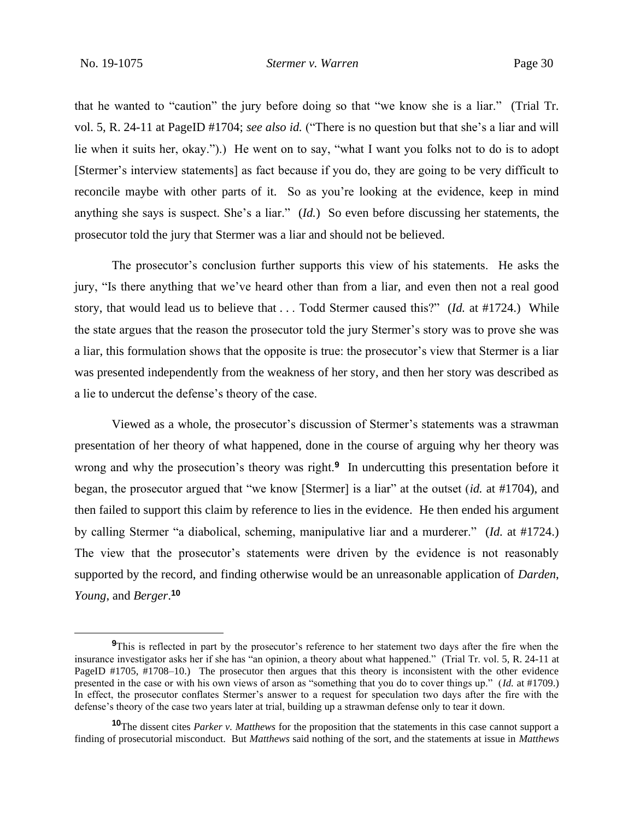that he wanted to "caution" the jury before doing so that "we know she is a liar." (Trial Tr. vol. 5, R. 24-11 at PageID #1704; *see also id.* ("There is no question but that she's a liar and will lie when it suits her, okay.").) He went on to say, "what I want you folks not to do is to adopt [Stermer's interview statements] as fact because if you do, they are going to be very difficult to reconcile maybe with other parts of it. So as you're looking at the evidence, keep in mind anything she says is suspect. She's a liar." (*Id.*) So even before discussing her statements, the prosecutor told the jury that Stermer was a liar and should not be believed.

The prosecutor's conclusion further supports this view of his statements. He asks the jury, "Is there anything that we've heard other than from a liar, and even then not a real good story, that would lead us to believe that . . . Todd Stermer caused this?" (*Id.* at #1724.) While the state argues that the reason the prosecutor told the jury Stermer's story was to prove she was a liar, this formulation shows that the opposite is true: the prosecutor's view that Stermer is a liar was presented independently from the weakness of her story, and then her story was described as a lie to undercut the defense's theory of the case.

Viewed as a whole, the prosecutor's discussion of Stermer's statements was a strawman presentation of her theory of what happened, done in the course of arguing why her theory was wrong and why the prosecution's theory was right.**<sup>9</sup>** In undercutting this presentation before it began, the prosecutor argued that "we know [Stermer] is a liar" at the outset (*id.* at #1704), and then failed to support this claim by reference to lies in the evidence. He then ended his argument by calling Stermer "a diabolical, scheming, manipulative liar and a murderer." (*Id.* at #1724.) The view that the prosecutor's statements were driven by the evidence is not reasonably supported by the record, and finding otherwise would be an unreasonable application of *Darden*, *Young*, and *Berger*. **10**

**<sup>9</sup>**This is reflected in part by the prosecutor's reference to her statement two days after the fire when the insurance investigator asks her if she has "an opinion, a theory about what happened." (Trial Tr. vol. 5, R. 24-11 at PageID #1705, #1708–10.) The prosecutor then argues that this theory is inconsistent with the other evidence presented in the case or with his own views of arson as "something that you do to cover things up." (*Id.* at #1709.) In effect, the prosecutor conflates Stermer's answer to a request for speculation two days after the fire with the defense's theory of the case two years later at trial, building up a strawman defense only to tear it down.

**<sup>10</sup>**The dissent cites *Parker v. Matthews* for the proposition that the statements in this case cannot support a finding of prosecutorial misconduct. But *Matthews* said nothing of the sort, and the statements at issue in *Matthews*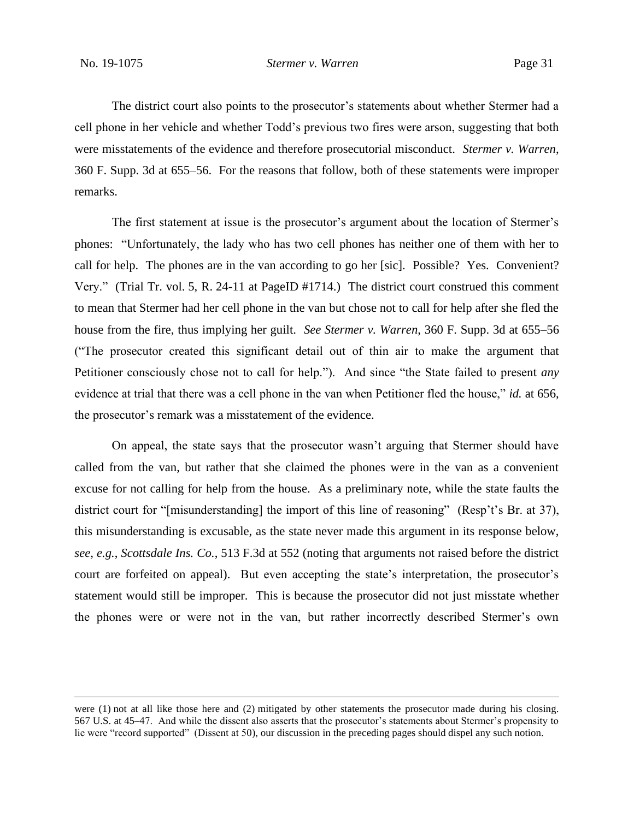The district court also points to the prosecutor's statements about whether Stermer had a cell phone in her vehicle and whether Todd's previous two fires were arson, suggesting that both were misstatements of the evidence and therefore prosecutorial misconduct. *Stermer v. Warren*, 360 F. Supp. 3d at 655–56. For the reasons that follow, both of these statements were improper remarks.

The first statement at issue is the prosecutor's argument about the location of Stermer's phones: "Unfortunately, the lady who has two cell phones has neither one of them with her to call for help. The phones are in the van according to go her [sic]. Possible? Yes. Convenient? Very." (Trial Tr. vol. 5, R. 24-11 at PageID #1714.) The district court construed this comment to mean that Stermer had her cell phone in the van but chose not to call for help after she fled the house from the fire, thus implying her guilt. *See Stermer v. Warren*, 360 F. Supp. 3d at 655–56 ("The prosecutor created this significant detail out of thin air to make the argument that Petitioner consciously chose not to call for help."). And since "the State failed to present *any* evidence at trial that there was a cell phone in the van when Petitioner fled the house," *id.* at 656, the prosecutor's remark was a misstatement of the evidence.

On appeal, the state says that the prosecutor wasn't arguing that Stermer should have called from the van, but rather that she claimed the phones were in the van as a convenient excuse for not calling for help from the house. As a preliminary note, while the state faults the district court for "[misunderstanding] the import of this line of reasoning" (Resp't's Br. at 37), this misunderstanding is excusable, as the state never made this argument in its response below, *see, e.g.*, *Scottsdale Ins. Co.*, 513 F.3d at 552 (noting that arguments not raised before the district court are forfeited on appeal). But even accepting the state's interpretation, the prosecutor's statement would still be improper. This is because the prosecutor did not just misstate whether the phones were or were not in the van, but rather incorrectly described Stermer's own

were (1) not at all like those here and (2) mitigated by other statements the prosecutor made during his closing. 567 U.S. at 45–47. And while the dissent also asserts that the prosecutor's statements about Stermer's propensity to lie were "record supported" (Dissent at 50), our discussion in the preceding pages should dispel any such notion.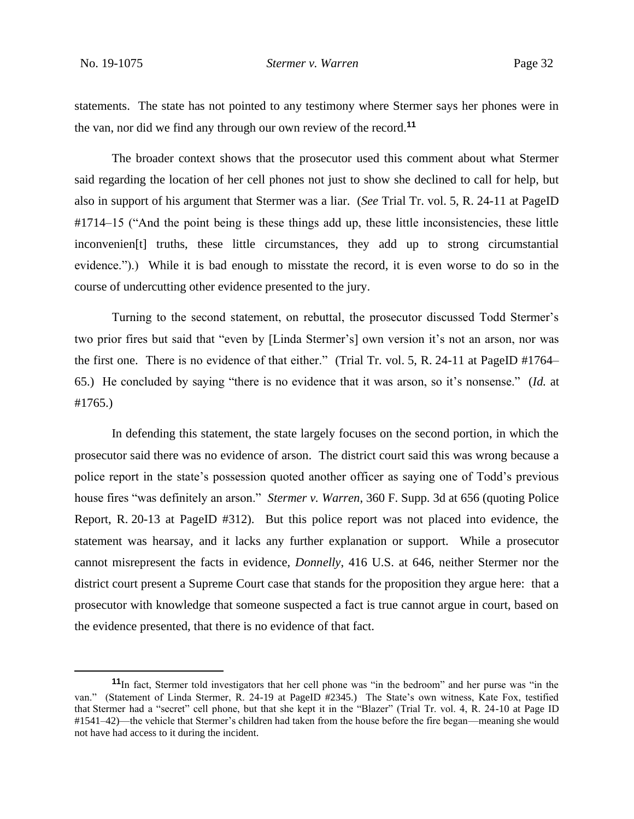statements. The state has not pointed to any testimony where Stermer says her phones were in the van, nor did we find any through our own review of the record.**<sup>11</sup>**

The broader context shows that the prosecutor used this comment about what Stermer said regarding the location of her cell phones not just to show she declined to call for help, but also in support of his argument that Stermer was a liar. (*See* Trial Tr. vol. 5, R. 24-11 at PageID #1714–15 ("And the point being is these things add up, these little inconsistencies, these little inconvenien[t] truths, these little circumstances, they add up to strong circumstantial evidence.").) While it is bad enough to misstate the record, it is even worse to do so in the course of undercutting other evidence presented to the jury.

Turning to the second statement, on rebuttal, the prosecutor discussed Todd Stermer's two prior fires but said that "even by [Linda Stermer's] own version it's not an arson, nor was the first one. There is no evidence of that either." (Trial Tr. vol. 5, R. 24-11 at PageID #1764– 65.) He concluded by saying "there is no evidence that it was arson, so it's nonsense." (*Id.* at #1765.)

In defending this statement, the state largely focuses on the second portion, in which the prosecutor said there was no evidence of arson. The district court said this was wrong because a police report in the state's possession quoted another officer as saying one of Todd's previous house fires "was definitely an arson." *Stermer v. Warren*, 360 F. Supp. 3d at 656 (quoting Police Report, R. 20-13 at PageID #312). But this police report was not placed into evidence, the statement was hearsay, and it lacks any further explanation or support. While a prosecutor cannot misrepresent the facts in evidence, *Donnelly*, 416 U.S. at 646, neither Stermer nor the district court present a Supreme Court case that stands for the proposition they argue here: that a prosecutor with knowledge that someone suspected a fact is true cannot argue in court, based on the evidence presented, that there is no evidence of that fact.

**<sup>11</sup>**In fact, Stermer told investigators that her cell phone was "in the bedroom" and her purse was "in the van." (Statement of Linda Stermer, R. 24-19 at PageID #2345.) The State's own witness, Kate Fox, testified that Stermer had a "secret" cell phone, but that she kept it in the "Blazer" (Trial Tr. vol. 4, R. 24-10 at Page ID #1541–42)—the vehicle that Stermer's children had taken from the house before the fire began—meaning she would not have had access to it during the incident.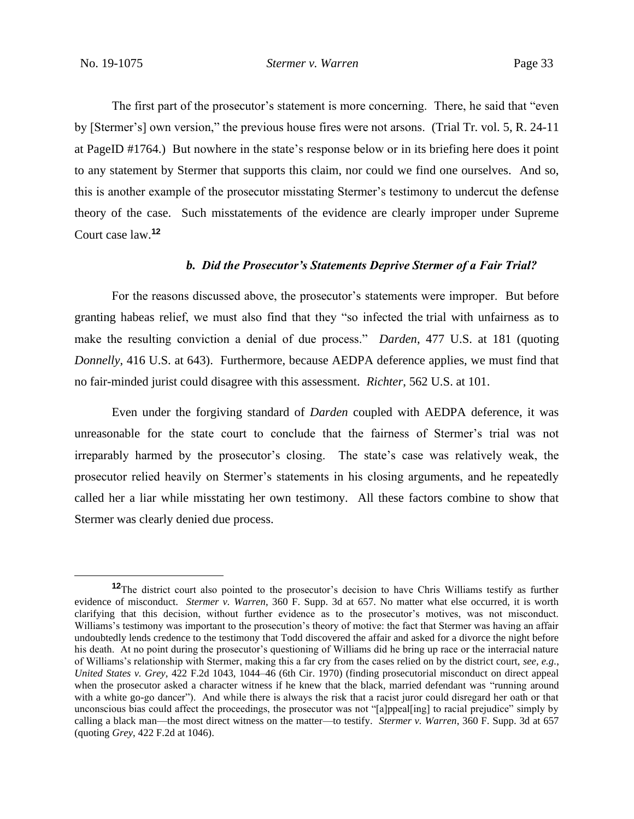The first part of the prosecutor's statement is more concerning. There, he said that "even by [Stermer's] own version," the previous house fires were not arsons. (Trial Tr. vol. 5, R. 24-11 at PageID #1764.) But nowhere in the state's response below or in its briefing here does it point to any statement by Stermer that supports this claim, nor could we find one ourselves. And so, this is another example of the prosecutor misstating Stermer's testimony to undercut the defense theory of the case. Such misstatements of the evidence are clearly improper under Supreme Court case law.**<sup>12</sup>**

### *b. Did the Prosecutor's Statements Deprive Stermer of a Fair Trial?*

For the reasons discussed above, the prosecutor's statements were improper. But before granting habeas relief, we must also find that they "so infected the trial with unfairness as to make the resulting conviction a denial of due process." *Darden*, 477 U.S. at 181 (quoting *Donnelly*, 416 U.S. at 643). Furthermore, because AEDPA deference applies, we must find that no fair-minded jurist could disagree with this assessment. *Richter*, 562 U.S. at 101.

Even under the forgiving standard of *Darden* coupled with AEDPA deference, it was unreasonable for the state court to conclude that the fairness of Stermer's trial was not irreparably harmed by the prosecutor's closing. The state's case was relatively weak, the prosecutor relied heavily on Stermer's statements in his closing arguments, and he repeatedly called her a liar while misstating her own testimony. All these factors combine to show that Stermer was clearly denied due process.

**<sup>12</sup>**The district court also pointed to the prosecutor's decision to have Chris Williams testify as further evidence of misconduct. *Stermer v. Warren*, 360 F. Supp. 3d at 657. No matter what else occurred, it is worth clarifying that this decision, without further evidence as to the prosecutor's motives, was not misconduct. Williams's testimony was important to the prosecution's theory of motive: the fact that Stermer was having an affair undoubtedly lends credence to the testimony that Todd discovered the affair and asked for a divorce the night before his death. At no point during the prosecutor's questioning of Williams did he bring up race or the interracial nature of Williams's relationship with Stermer, making this a far cry from the cases relied on by the district court, *see, e.g.*, *United States v. Grey*, 422 F.2d 1043, 1044–46 (6th Cir. 1970) (finding prosecutorial misconduct on direct appeal when the prosecutor asked a character witness if he knew that the black, married defendant was "running around" with a white go-go dancer"). And while there is always the risk that a racist juror could disregard her oath or that unconscious bias could affect the proceedings, the prosecutor was not "[a]ppeal[ing] to racial prejudice" simply by calling a black man—the most direct witness on the matter—to testify. *Stermer v. Warren*, 360 F. Supp. 3d at 657 (quoting *Grey*, 422 F.2d at 1046).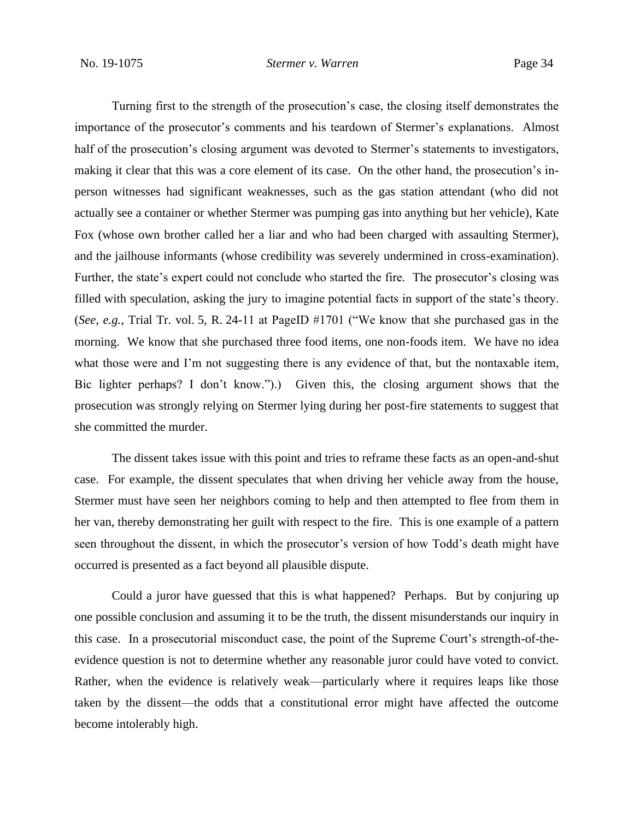Turning first to the strength of the prosecution's case, the closing itself demonstrates the importance of the prosecutor's comments and his teardown of Stermer's explanations. Almost half of the prosecution's closing argument was devoted to Stermer's statements to investigators, making it clear that this was a core element of its case. On the other hand, the prosecution's inperson witnesses had significant weaknesses, such as the gas station attendant (who did not actually see a container or whether Stermer was pumping gas into anything but her vehicle), Kate Fox (whose own brother called her a liar and who had been charged with assaulting Stermer), and the jailhouse informants (whose credibility was severely undermined in cross-examination). Further, the state's expert could not conclude who started the fire. The prosecutor's closing was filled with speculation, asking the jury to imagine potential facts in support of the state's theory. (*See, e.g.*, Trial Tr. vol. 5, R. 24-11 at PageID #1701 ("We know that she purchased gas in the morning. We know that she purchased three food items, one non-foods item. We have no idea what those were and I'm not suggesting there is any evidence of that, but the nontaxable item, Bic lighter perhaps? I don't know.").) Given this, the closing argument shows that the prosecution was strongly relying on Stermer lying during her post-fire statements to suggest that she committed the murder.

The dissent takes issue with this point and tries to reframe these facts as an open-and-shut case. For example, the dissent speculates that when driving her vehicle away from the house, Stermer must have seen her neighbors coming to help and then attempted to flee from them in her van, thereby demonstrating her guilt with respect to the fire. This is one example of a pattern seen throughout the dissent, in which the prosecutor's version of how Todd's death might have occurred is presented as a fact beyond all plausible dispute.

Could a juror have guessed that this is what happened? Perhaps. But by conjuring up one possible conclusion and assuming it to be the truth, the dissent misunderstands our inquiry in this case. In a prosecutorial misconduct case, the point of the Supreme Court's strength-of-theevidence question is not to determine whether any reasonable juror could have voted to convict. Rather, when the evidence is relatively weak—particularly where it requires leaps like those taken by the dissent—the odds that a constitutional error might have affected the outcome become intolerably high.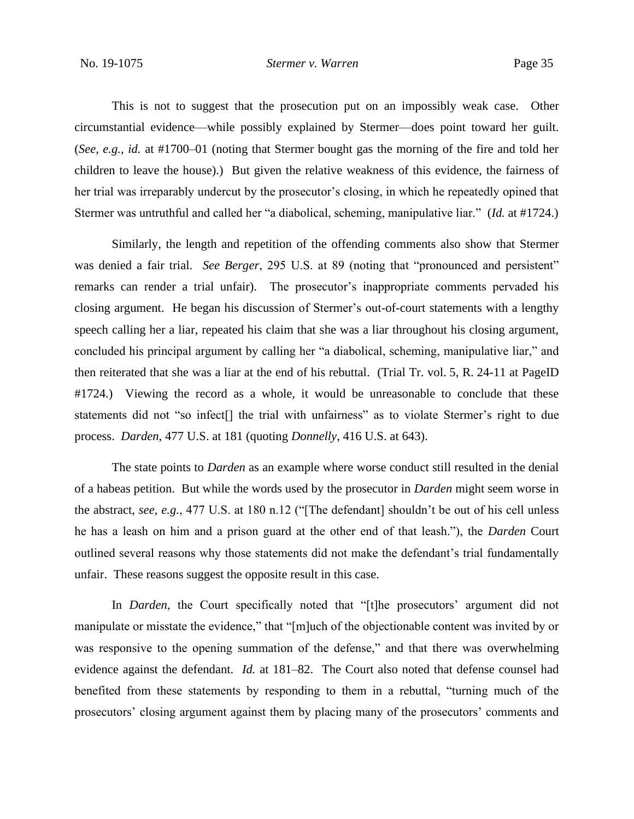This is not to suggest that the prosecution put on an impossibly weak case. Other circumstantial evidence—while possibly explained by Stermer—does point toward her guilt. (*See, e.g.*, *id.* at #1700–01 (noting that Stermer bought gas the morning of the fire and told her children to leave the house).) But given the relative weakness of this evidence, the fairness of her trial was irreparably undercut by the prosecutor's closing, in which he repeatedly opined that Stermer was untruthful and called her "a diabolical, scheming, manipulative liar." (*Id.* at #1724.)

Similarly, the length and repetition of the offending comments also show that Stermer was denied a fair trial. *See Berger*, 295 U.S. at 89 (noting that "pronounced and persistent" remarks can render a trial unfair). The prosecutor's inappropriate comments pervaded his closing argument. He began his discussion of Stermer's out-of-court statements with a lengthy speech calling her a liar, repeated his claim that she was a liar throughout his closing argument, concluded his principal argument by calling her "a diabolical, scheming, manipulative liar," and then reiterated that she was a liar at the end of his rebuttal. (Trial Tr. vol. 5, R. 24-11 at PageID #1724.) Viewing the record as a whole, it would be unreasonable to conclude that these statements did not "so infect[] the trial with unfairness" as to violate Stermer's right to due process. *Darden*, 477 U.S. at 181 (quoting *Donnelly*, 416 U.S. at 643).

The state points to *Darden* as an example where worse conduct still resulted in the denial of a habeas petition. But while the words used by the prosecutor in *Darden* might seem worse in the abstract, *see, e.g.*, 477 U.S. at 180 n.12 ("[The defendant] shouldn't be out of his cell unless he has a leash on him and a prison guard at the other end of that leash."), the *Darden* Court outlined several reasons why those statements did not make the defendant's trial fundamentally unfair. These reasons suggest the opposite result in this case.

In *Darden*, the Court specifically noted that "[t]he prosecutors' argument did not manipulate or misstate the evidence," that "[m]uch of the objectionable content was invited by or was responsive to the opening summation of the defense," and that there was overwhelming evidence against the defendant. *Id.* at 181–82. The Court also noted that defense counsel had benefited from these statements by responding to them in a rebuttal, "turning much of the prosecutors' closing argument against them by placing many of the prosecutors' comments and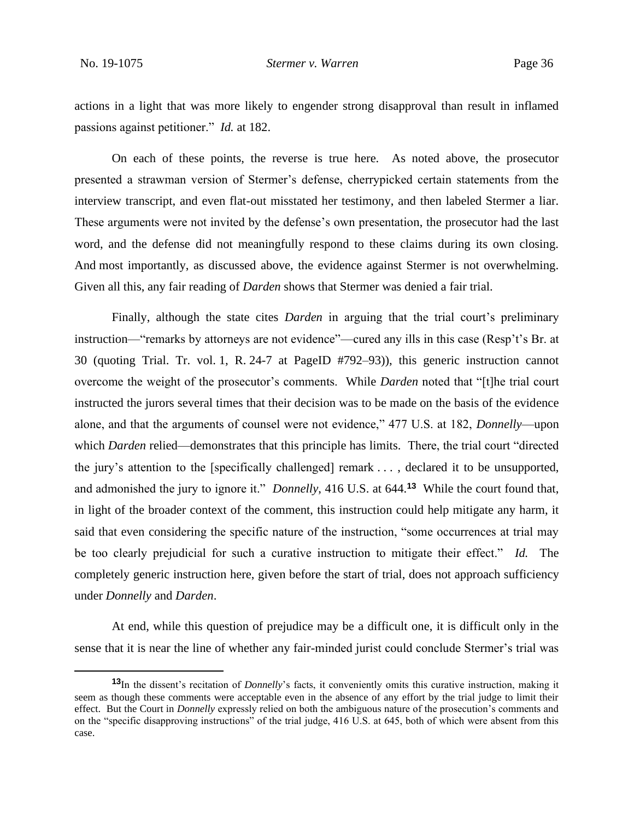actions in a light that was more likely to engender strong disapproval than result in inflamed passions against petitioner." *Id.* at 182.

On each of these points, the reverse is true here. As noted above, the prosecutor presented a strawman version of Stermer's defense, cherrypicked certain statements from the interview transcript, and even flat-out misstated her testimony, and then labeled Stermer a liar. These arguments were not invited by the defense's own presentation, the prosecutor had the last word, and the defense did not meaningfully respond to these claims during its own closing. And most importantly, as discussed above, the evidence against Stermer is not overwhelming. Given all this, any fair reading of *Darden* shows that Stermer was denied a fair trial.

Finally, although the state cites *Darden* in arguing that the trial court's preliminary instruction—"remarks by attorneys are not evidence"—cured any ills in this case (Resp't's Br. at 30 (quoting Trial. Tr. vol. 1, R. 24-7 at PageID #792–93)), this generic instruction cannot overcome the weight of the prosecutor's comments. While *Darden* noted that "[t]he trial court instructed the jurors several times that their decision was to be made on the basis of the evidence alone, and that the arguments of counsel were not evidence," 477 U.S. at 182, *Donnelly*—upon which *Darden* relied—demonstrates that this principle has limits. There, the trial court "directed" the jury's attention to the [specifically challenged] remark . . . , declared it to be unsupported, and admonished the jury to ignore it." *Donnelly*, 416 U.S. at 644.**<sup>13</sup>** While the court found that, in light of the broader context of the comment, this instruction could help mitigate any harm, it said that even considering the specific nature of the instruction, "some occurrences at trial may be too clearly prejudicial for such a curative instruction to mitigate their effect." *Id.* The completely generic instruction here, given before the start of trial, does not approach sufficiency under *Donnelly* and *Darden*.

At end, while this question of prejudice may be a difficult one, it is difficult only in the sense that it is near the line of whether any fair-minded jurist could conclude Stermer's trial was

**<sup>13</sup>**In the dissent's recitation of *Donnelly*'s facts, it conveniently omits this curative instruction, making it seem as though these comments were acceptable even in the absence of any effort by the trial judge to limit their effect. But the Court in *Donnelly* expressly relied on both the ambiguous nature of the prosecution's comments and on the "specific disapproving instructions" of the trial judge, 416 U.S. at 645, both of which were absent from this case.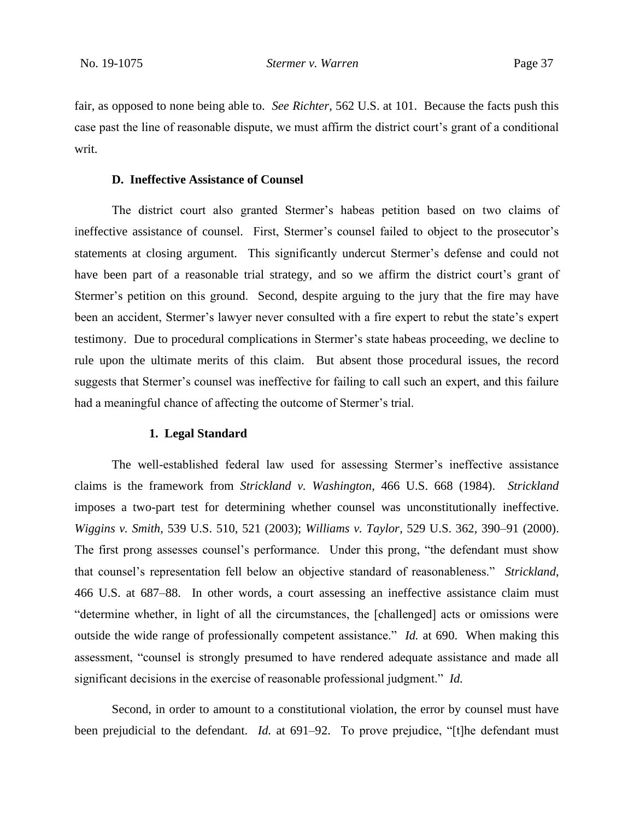fair, as opposed to none being able to. *See Richter*, 562 U.S. at 101. Because the facts push this case past the line of reasonable dispute, we must affirm the district court's grant of a conditional writ.

### **D. Ineffective Assistance of Counsel**

The district court also granted Stermer's habeas petition based on two claims of ineffective assistance of counsel. First, Stermer's counsel failed to object to the prosecutor's statements at closing argument. This significantly undercut Stermer's defense and could not have been part of a reasonable trial strategy, and so we affirm the district court's grant of Stermer's petition on this ground. Second, despite arguing to the jury that the fire may have been an accident, Stermer's lawyer never consulted with a fire expert to rebut the state's expert testimony. Due to procedural complications in Stermer's state habeas proceeding, we decline to rule upon the ultimate merits of this claim. But absent those procedural issues, the record suggests that Stermer's counsel was ineffective for failing to call such an expert, and this failure had a meaningful chance of affecting the outcome of Stermer's trial.

### **1. Legal Standard**

The well-established federal law used for assessing Stermer's ineffective assistance claims is the framework from *Strickland v. Washington*, 466 U.S. 668 (1984). *Strickland* imposes a two-part test for determining whether counsel was unconstitutionally ineffective. *Wiggins v. Smith*, 539 U.S. 510, 521 (2003); *Williams v. Taylor*, 529 U.S. 362, 390–91 (2000). The first prong assesses counsel's performance. Under this prong, "the defendant must show that counsel's representation fell below an objective standard of reasonableness." *Strickland*, 466 U.S. at 687–88. In other words, a court assessing an ineffective assistance claim must "determine whether, in light of all the circumstances, the [challenged] acts or omissions were outside the wide range of professionally competent assistance." *Id.* at 690. When making this assessment, "counsel is strongly presumed to have rendered adequate assistance and made all significant decisions in the exercise of reasonable professional judgment." *Id.*

Second, in order to amount to a constitutional violation, the error by counsel must have been prejudicial to the defendant. *Id.* at 691–92. To prove prejudice, "[t]he defendant must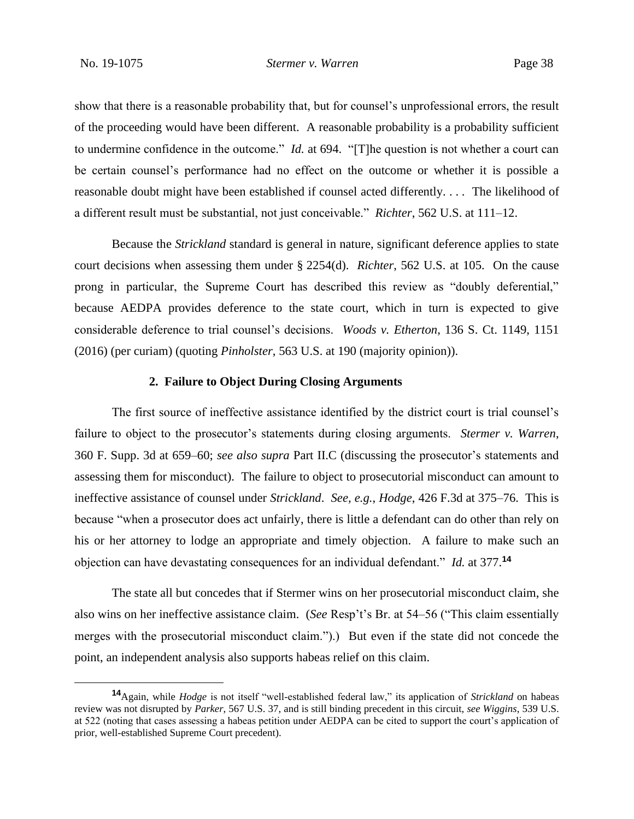show that there is a reasonable probability that, but for counsel's unprofessional errors, the result of the proceeding would have been different. A reasonable probability is a probability sufficient to undermine confidence in the outcome." *Id.* at 694. "[T]he question is not whether a court can be certain counsel's performance had no effect on the outcome or whether it is possible a reasonable doubt might have been established if counsel acted differently. . . . The likelihood of a different result must be substantial, not just conceivable." *Richter*, 562 U.S. at 111–12.

Because the *Strickland* standard is general in nature, significant deference applies to state court decisions when assessing them under § 2254(d). *Richter*, 562 U.S. at 105. On the cause prong in particular, the Supreme Court has described this review as "doubly deferential," because AEDPA provides deference to the state court, which in turn is expected to give considerable deference to trial counsel's decisions. *Woods v. Etherton*, 136 S. Ct. 1149, 1151 (2016) (per curiam) (quoting *Pinholster*, 563 U.S. at 190 (majority opinion)).

## **2. Failure to Object During Closing Arguments**

The first source of ineffective assistance identified by the district court is trial counsel's failure to object to the prosecutor's statements during closing arguments. *Stermer v. Warren*, 360 F. Supp. 3d at 659–60; *see also supra* Part II.C (discussing the prosecutor's statements and assessing them for misconduct). The failure to object to prosecutorial misconduct can amount to ineffective assistance of counsel under *Strickland*. *See, e.g.*, *Hodge*, 426 F.3d at 375–76. This is because "when a prosecutor does act unfairly, there is little a defendant can do other than rely on his or her attorney to lodge an appropriate and timely objection. A failure to make such an objection can have devastating consequences for an individual defendant." *Id.* at 377.**<sup>14</sup>**

The state all but concedes that if Stermer wins on her prosecutorial misconduct claim, she also wins on her ineffective assistance claim. (*See* Resp't's Br. at 54–56 ("This claim essentially merges with the prosecutorial misconduct claim.").) But even if the state did not concede the point, an independent analysis also supports habeas relief on this claim.

**<sup>14</sup>**Again, while *Hodge* is not itself "well-established federal law," its application of *Strickland* on habeas review was not disrupted by *Parker*, 567 U.S. 37, and is still binding precedent in this circuit, *see Wiggins*, 539 U.S. at 522 (noting that cases assessing a habeas petition under AEDPA can be cited to support the court's application of prior, well-established Supreme Court precedent).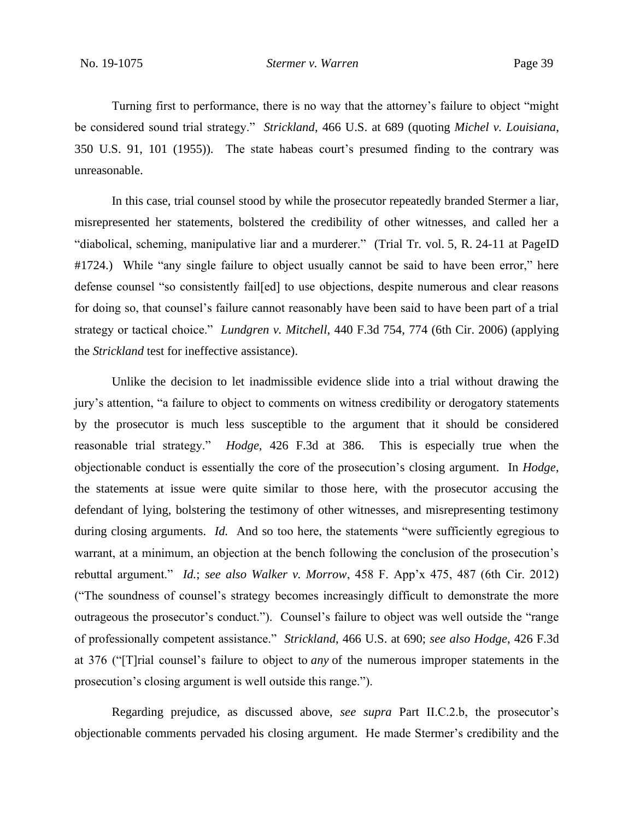Turning first to performance, there is no way that the attorney's failure to object "might be considered sound trial strategy." *Strickland*, 466 U.S. at 689 (quoting *Michel v. Louisiana*, 350 U.S. 91, 101 (1955)). The state habeas court's presumed finding to the contrary was unreasonable.

In this case, trial counsel stood by while the prosecutor repeatedly branded Stermer a liar, misrepresented her statements, bolstered the credibility of other witnesses, and called her a "diabolical, scheming, manipulative liar and a murderer." (Trial Tr. vol. 5, R. 24-11 at PageID #1724.) While "any single failure to object usually cannot be said to have been error," here defense counsel "so consistently fail[ed] to use objections, despite numerous and clear reasons for doing so, that counsel's failure cannot reasonably have been said to have been part of a trial strategy or tactical choice." *Lundgren v. Mitchell*, 440 F.3d 754, 774 (6th Cir. 2006) (applying the *Strickland* test for ineffective assistance).

Unlike the decision to let inadmissible evidence slide into a trial without drawing the jury's attention, "a failure to object to comments on witness credibility or derogatory statements by the prosecutor is much less susceptible to the argument that it should be considered reasonable trial strategy." *Hodge*, 426 F.3d at 386. This is especially true when the objectionable conduct is essentially the core of the prosecution's closing argument. In *Hodge*, the statements at issue were quite similar to those here, with the prosecutor accusing the defendant of lying, bolstering the testimony of other witnesses, and misrepresenting testimony during closing arguments. *Id.* And so too here, the statements "were sufficiently egregious to warrant, at a minimum, an objection at the bench following the conclusion of the prosecution's rebuttal argument." *Id.*; *see also Walker v. Morrow*, 458 F. App'x 475, 487 (6th Cir. 2012) ("The soundness of counsel's strategy becomes increasingly difficult to demonstrate the more outrageous the prosecutor's conduct."). Counsel's failure to object was well outside the "range of professionally competent assistance." *Strickland*, 466 U.S. at 690; *see also Hodge*, 426 F.3d at 376 ("[T]rial counsel's failure to object to *any* of the numerous improper statements in the prosecution's closing argument is well outside this range.").

Regarding prejudice, as discussed above, *see supra* Part II.C.2.b, the prosecutor's objectionable comments pervaded his closing argument. He made Stermer's credibility and the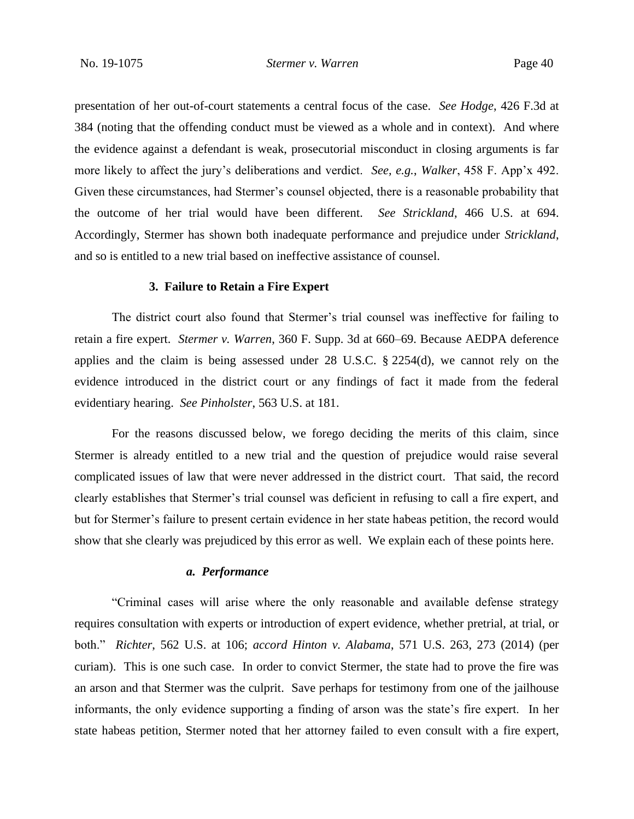presentation of her out-of-court statements a central focus of the case. *See Hodge*, 426 F.3d at 384 (noting that the offending conduct must be viewed as a whole and in context). And where the evidence against a defendant is weak, prosecutorial misconduct in closing arguments is far more likely to affect the jury's deliberations and verdict. *See, e.g.*, *Walker*, 458 F. App'x 492. Given these circumstances, had Stermer's counsel objected, there is a reasonable probability that the outcome of her trial would have been different. *See Strickland*, 466 U.S. at 694. Accordingly, Stermer has shown both inadequate performance and prejudice under *Strickland*, and so is entitled to a new trial based on ineffective assistance of counsel.

#### **3. Failure to Retain a Fire Expert**

The district court also found that Stermer's trial counsel was ineffective for failing to retain a fire expert. *Stermer v. Warren*, 360 F. Supp. 3d at 660–69. Because AEDPA deference applies and the claim is being assessed under 28 U.S.C. § 2254(d), we cannot rely on the evidence introduced in the district court or any findings of fact it made from the federal evidentiary hearing. *See Pinholster*, 563 U.S. at 181.

For the reasons discussed below, we forego deciding the merits of this claim, since Stermer is already entitled to a new trial and the question of prejudice would raise several complicated issues of law that were never addressed in the district court. That said, the record clearly establishes that Stermer's trial counsel was deficient in refusing to call a fire expert, and but for Stermer's failure to present certain evidence in her state habeas petition, the record would show that she clearly was prejudiced by this error as well. We explain each of these points here.

## *a. Performance*

"Criminal cases will arise where the only reasonable and available defense strategy requires consultation with experts or introduction of expert evidence, whether pretrial, at trial, or both." *Richter*, 562 U.S. at 106; *accord Hinton v. Alabama*, 571 U.S. 263, 273 (2014) (per curiam). This is one such case. In order to convict Stermer, the state had to prove the fire was an arson and that Stermer was the culprit. Save perhaps for testimony from one of the jailhouse informants, the only evidence supporting a finding of arson was the state's fire expert. In her state habeas petition, Stermer noted that her attorney failed to even consult with a fire expert,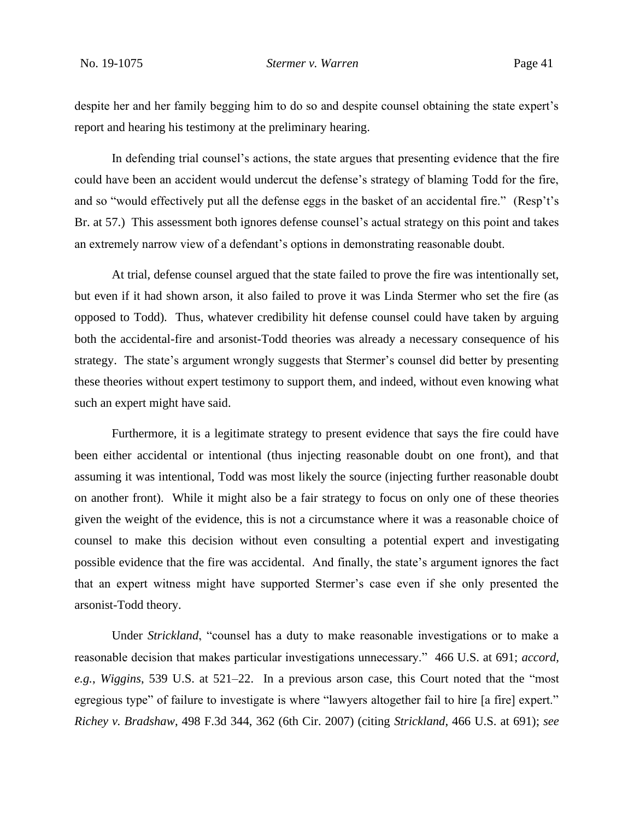despite her and her family begging him to do so and despite counsel obtaining the state expert's report and hearing his testimony at the preliminary hearing.

In defending trial counsel's actions, the state argues that presenting evidence that the fire could have been an accident would undercut the defense's strategy of blaming Todd for the fire, and so "would effectively put all the defense eggs in the basket of an accidental fire." (Resp't's Br. at 57.) This assessment both ignores defense counsel's actual strategy on this point and takes an extremely narrow view of a defendant's options in demonstrating reasonable doubt.

At trial, defense counsel argued that the state failed to prove the fire was intentionally set, but even if it had shown arson, it also failed to prove it was Linda Stermer who set the fire (as opposed to Todd). Thus, whatever credibility hit defense counsel could have taken by arguing both the accidental-fire and arsonist-Todd theories was already a necessary consequence of his strategy. The state's argument wrongly suggests that Stermer's counsel did better by presenting these theories without expert testimony to support them, and indeed, without even knowing what such an expert might have said.

Furthermore, it is a legitimate strategy to present evidence that says the fire could have been either accidental or intentional (thus injecting reasonable doubt on one front), and that assuming it was intentional, Todd was most likely the source (injecting further reasonable doubt on another front). While it might also be a fair strategy to focus on only one of these theories given the weight of the evidence, this is not a circumstance where it was a reasonable choice of counsel to make this decision without even consulting a potential expert and investigating possible evidence that the fire was accidental. And finally, the state's argument ignores the fact that an expert witness might have supported Stermer's case even if she only presented the arsonist-Todd theory.

Under *Strickland*, "counsel has a duty to make reasonable investigations or to make a reasonable decision that makes particular investigations unnecessary." 466 U.S. at 691; *accord, e.g.*, *Wiggins*, 539 U.S. at 521–22. In a previous arson case, this Court noted that the "most egregious type" of failure to investigate is where "lawyers altogether fail to hire [a fire] expert." *Richey v. Bradshaw*, 498 F.3d 344, 362 (6th Cir. 2007) (citing *Strickland*, 466 U.S. at 691); *see*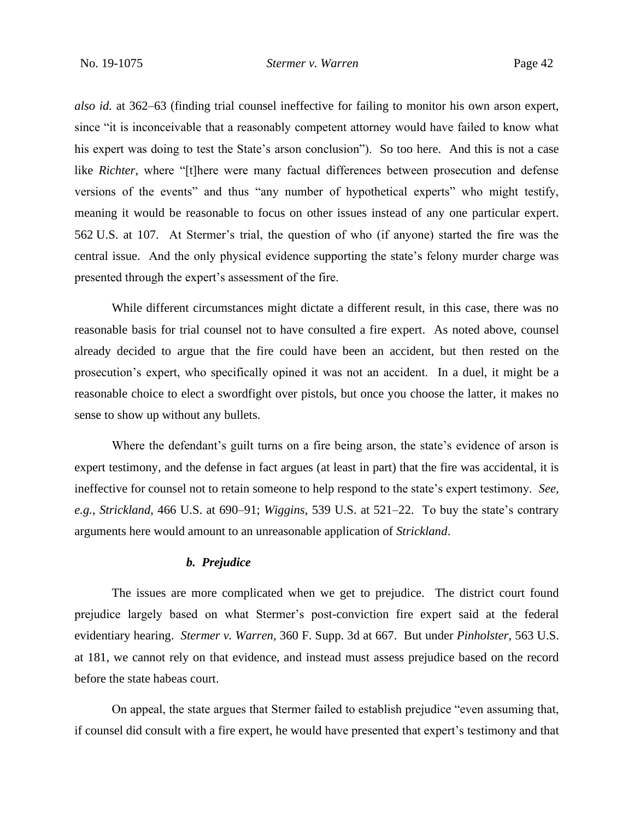*also id.* at 362–63 (finding trial counsel ineffective for failing to monitor his own arson expert, since "it is inconceivable that a reasonably competent attorney would have failed to know what his expert was doing to test the State's arson conclusion"). So too here. And this is not a case like *Richter*, where "[t]here were many factual differences between prosecution and defense versions of the events" and thus "any number of hypothetical experts" who might testify, meaning it would be reasonable to focus on other issues instead of any one particular expert. 562 U.S. at 107. At Stermer's trial, the question of who (if anyone) started the fire was the central issue. And the only physical evidence supporting the state's felony murder charge was presented through the expert's assessment of the fire.

While different circumstances might dictate a different result, in this case, there was no reasonable basis for trial counsel not to have consulted a fire expert. As noted above, counsel already decided to argue that the fire could have been an accident, but then rested on the prosecution's expert, who specifically opined it was not an accident. In a duel, it might be a reasonable choice to elect a swordfight over pistols, but once you choose the latter, it makes no sense to show up without any bullets.

Where the defendant's guilt turns on a fire being arson, the state's evidence of arson is expert testimony, and the defense in fact argues (at least in part) that the fire was accidental, it is ineffective for counsel not to retain someone to help respond to the state's expert testimony. *See, e.g.*, *Strickland*, 466 U.S. at 690–91; *Wiggins*, 539 U.S. at 521–22. To buy the state's contrary arguments here would amount to an unreasonable application of *Strickland*.

### *b. Prejudice*

The issues are more complicated when we get to prejudice. The district court found prejudice largely based on what Stermer's post-conviction fire expert said at the federal evidentiary hearing. *Stermer v. Warren*, 360 F. Supp. 3d at 667. But under *Pinholster*, 563 U.S. at 181, we cannot rely on that evidence, and instead must assess prejudice based on the record before the state habeas court.

On appeal, the state argues that Stermer failed to establish prejudice "even assuming that, if counsel did consult with a fire expert, he would have presented that expert's testimony and that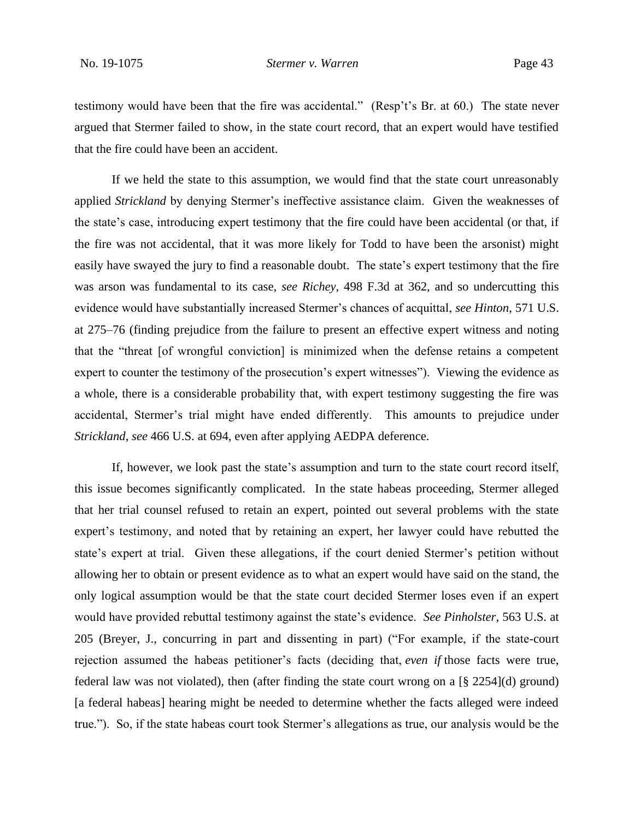testimony would have been that the fire was accidental." (Resp't's Br. at 60.) The state never argued that Stermer failed to show, in the state court record, that an expert would have testified that the fire could have been an accident.

If we held the state to this assumption, we would find that the state court unreasonably applied *Strickland* by denying Stermer's ineffective assistance claim. Given the weaknesses of the state's case, introducing expert testimony that the fire could have been accidental (or that, if the fire was not accidental, that it was more likely for Todd to have been the arsonist) might easily have swayed the jury to find a reasonable doubt. The state's expert testimony that the fire was arson was fundamental to its case, *see Richey*, 498 F.3d at 362, and so undercutting this evidence would have substantially increased Stermer's chances of acquittal, *see Hinton*, 571 U.S. at 275–76 (finding prejudice from the failure to present an effective expert witness and noting that the "threat [of wrongful conviction] is minimized when the defense retains a competent expert to counter the testimony of the prosecution's expert witnesses"). Viewing the evidence as a whole, there is a considerable probability that, with expert testimony suggesting the fire was accidental, Stermer's trial might have ended differently. This amounts to prejudice under *Strickland*, *see* 466 U.S. at 694, even after applying AEDPA deference.

If, however, we look past the state's assumption and turn to the state court record itself, this issue becomes significantly complicated. In the state habeas proceeding, Stermer alleged that her trial counsel refused to retain an expert, pointed out several problems with the state expert's testimony, and noted that by retaining an expert, her lawyer could have rebutted the state's expert at trial. Given these allegations, if the court denied Stermer's petition without allowing her to obtain or present evidence as to what an expert would have said on the stand, the only logical assumption would be that the state court decided Stermer loses even if an expert would have provided rebuttal testimony against the state's evidence. *See Pinholster*, 563 U.S. at 205 (Breyer, J., concurring in part and dissenting in part) ("For example, if the state-court rejection assumed the habeas petitioner's facts (deciding that, *even if* those facts were true, federal law was not violated), then (after finding the state court wrong on a [§ 2254](d) ground) [a federal habeas] hearing might be needed to determine whether the facts alleged were indeed true."). So, if the state habeas court took Stermer's allegations as true, our analysis would be the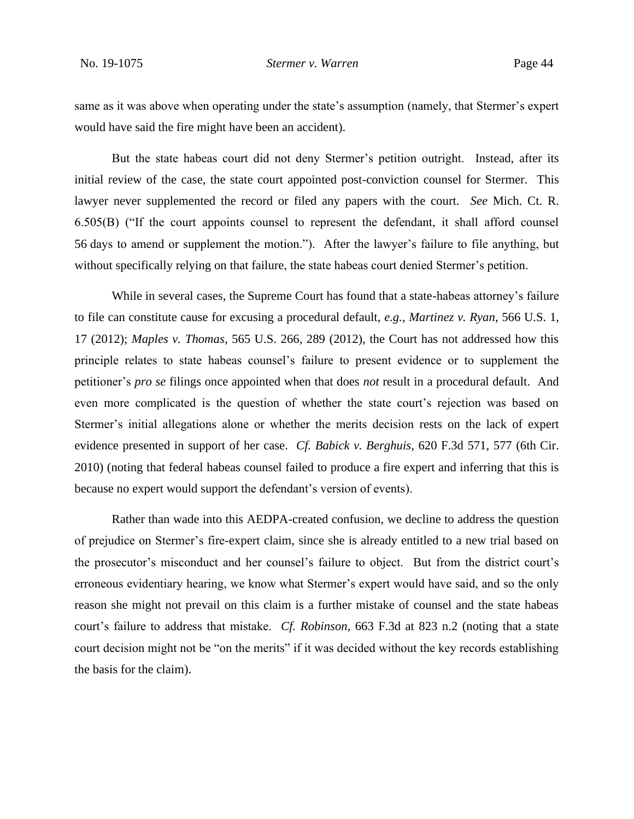same as it was above when operating under the state's assumption (namely, that Stermer's expert would have said the fire might have been an accident).

But the state habeas court did not deny Stermer's petition outright. Instead, after its initial review of the case, the state court appointed post-conviction counsel for Stermer. This lawyer never supplemented the record or filed any papers with the court. *See* Mich. Ct. R. 6.505(B) ("If the court appoints counsel to represent the defendant, it shall afford counsel 56 days to amend or supplement the motion."). After the lawyer's failure to file anything, but without specifically relying on that failure, the state habeas court denied Stermer's petition.

While in several cases, the Supreme Court has found that a state-habeas attorney's failure to file can constitute cause for excusing a procedural default, *e.g.*, *Martinez v. Ryan*, 566 U.S. 1, 17 (2012); *Maples v. Thomas*, 565 U.S. 266, 289 (2012), the Court has not addressed how this principle relates to state habeas counsel's failure to present evidence or to supplement the petitioner's *pro se* filings once appointed when that does *not* result in a procedural default. And even more complicated is the question of whether the state court's rejection was based on Stermer's initial allegations alone or whether the merits decision rests on the lack of expert evidence presented in support of her case. *Cf. Babick v. Berghuis*, 620 F.3d 571, 577 (6th Cir. 2010) (noting that federal habeas counsel failed to produce a fire expert and inferring that this is because no expert would support the defendant's version of events).

Rather than wade into this AEDPA-created confusion, we decline to address the question of prejudice on Stermer's fire-expert claim, since she is already entitled to a new trial based on the prosecutor's misconduct and her counsel's failure to object. But from the district court's erroneous evidentiary hearing, we know what Stermer's expert would have said, and so the only reason she might not prevail on this claim is a further mistake of counsel and the state habeas court's failure to address that mistake. *Cf. Robinson*, 663 F.3d at 823 n.2 (noting that a state court decision might not be "on the merits" if it was decided without the key records establishing the basis for the claim).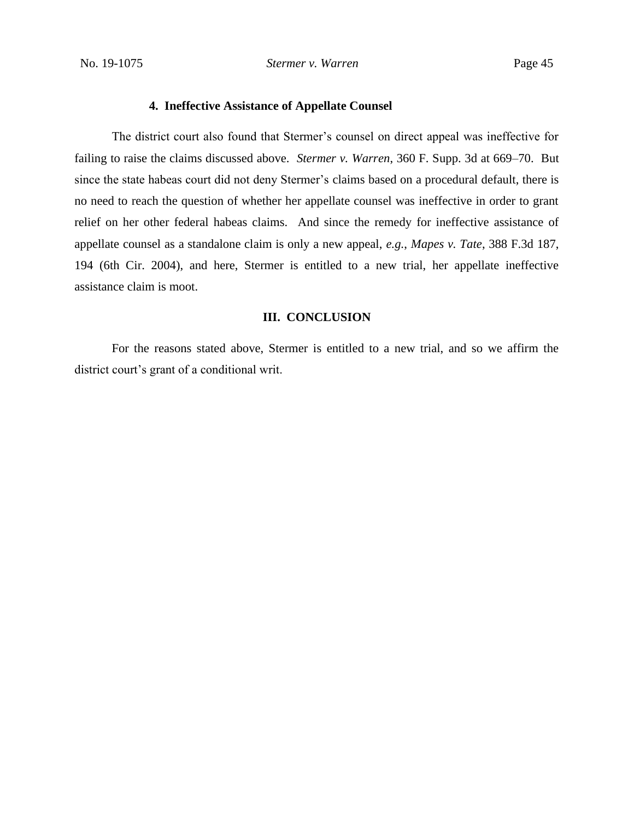## **4. Ineffective Assistance of Appellate Counsel**

The district court also found that Stermer's counsel on direct appeal was ineffective for failing to raise the claims discussed above. *Stermer v. Warren*, 360 F. Supp. 3d at 669–70. But since the state habeas court did not deny Stermer's claims based on a procedural default, there is no need to reach the question of whether her appellate counsel was ineffective in order to grant relief on her other federal habeas claims. And since the remedy for ineffective assistance of appellate counsel as a standalone claim is only a new appeal, *e.g.*, *Mapes v. Tate*, 388 F.3d 187, 194 (6th Cir. 2004), and here, Stermer is entitled to a new trial, her appellate ineffective assistance claim is moot.

#### **III. CONCLUSION**

For the reasons stated above, Stermer is entitled to a new trial, and so we affirm the district court's grant of a conditional writ.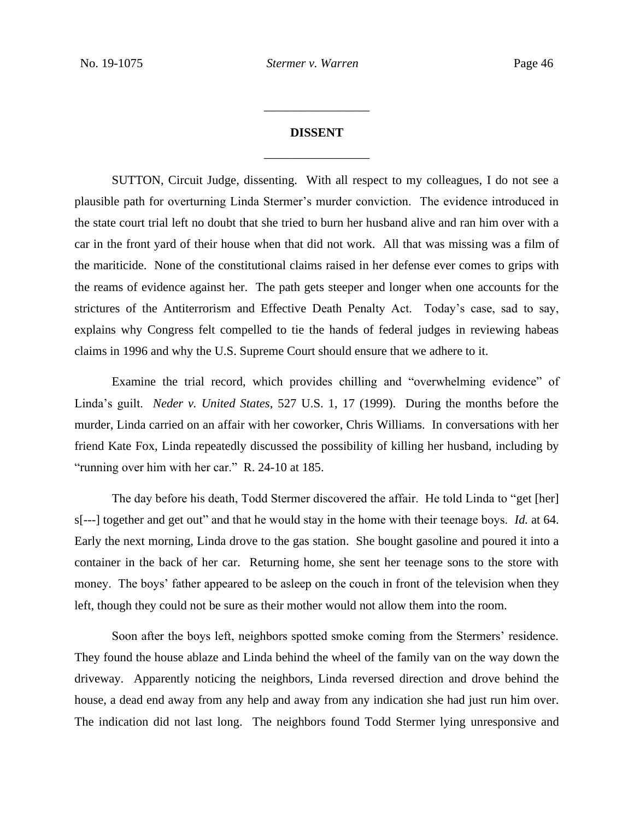# **DISSENT** \_\_\_\_\_\_\_\_\_\_\_\_\_\_\_\_\_

\_\_\_\_\_\_\_\_\_\_\_\_\_\_\_\_\_

SUTTON, Circuit Judge, dissenting. With all respect to my colleagues, I do not see a plausible path for overturning Linda Stermer's murder conviction. The evidence introduced in the state court trial left no doubt that she tried to burn her husband alive and ran him over with a car in the front yard of their house when that did not work. All that was missing was a film of the mariticide. None of the constitutional claims raised in her defense ever comes to grips with the reams of evidence against her. The path gets steeper and longer when one accounts for the strictures of the Antiterrorism and Effective Death Penalty Act. Today's case, sad to say, explains why Congress felt compelled to tie the hands of federal judges in reviewing habeas claims in 1996 and why the U.S. Supreme Court should ensure that we adhere to it.

Examine the trial record, which provides chilling and "overwhelming evidence" of Linda's guilt. *Neder v. United States*, 527 U.S. 1, 17 (1999). During the months before the murder, Linda carried on an affair with her coworker, Chris Williams. In conversations with her friend Kate Fox, Linda repeatedly discussed the possibility of killing her husband, including by "running over him with her car." R. 24-10 at 185.

The day before his death, Todd Stermer discovered the affair. He told Linda to "get [her] s[---] together and get out" and that he would stay in the home with their teenage boys. *Id.* at 64. Early the next morning, Linda drove to the gas station. She bought gasoline and poured it into a container in the back of her car. Returning home, she sent her teenage sons to the store with money. The boys' father appeared to be asleep on the couch in front of the television when they left, though they could not be sure as their mother would not allow them into the room.

Soon after the boys left, neighbors spotted smoke coming from the Stermers' residence. They found the house ablaze and Linda behind the wheel of the family van on the way down the driveway. Apparently noticing the neighbors, Linda reversed direction and drove behind the house, a dead end away from any help and away from any indication she had just run him over. The indication did not last long. The neighbors found Todd Stermer lying unresponsive and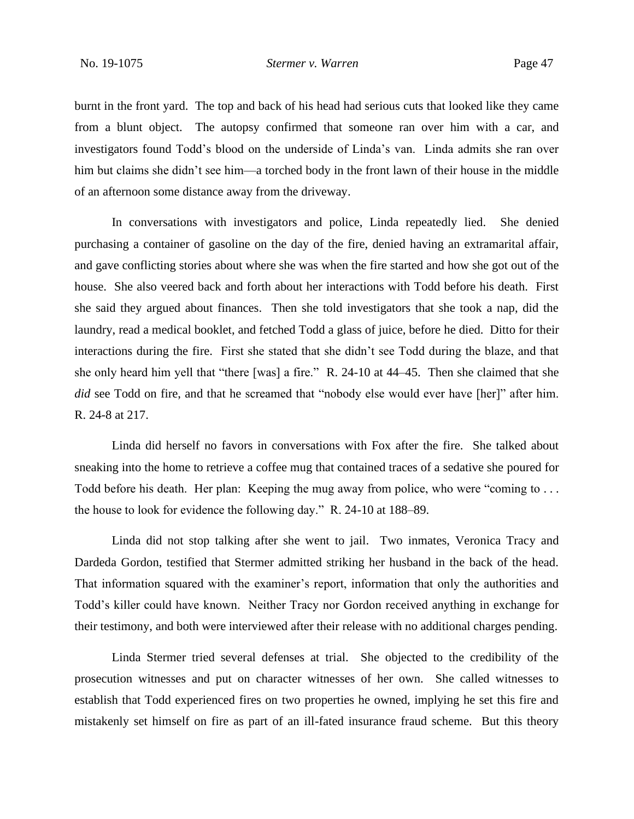burnt in the front yard. The top and back of his head had serious cuts that looked like they came from a blunt object. The autopsy confirmed that someone ran over him with a car, and investigators found Todd's blood on the underside of Linda's van. Linda admits she ran over him but claims she didn't see him—a torched body in the front lawn of their house in the middle of an afternoon some distance away from the driveway.

In conversations with investigators and police, Linda repeatedly lied. She denied purchasing a container of gasoline on the day of the fire, denied having an extramarital affair, and gave conflicting stories about where she was when the fire started and how she got out of the house. She also veered back and forth about her interactions with Todd before his death. First she said they argued about finances. Then she told investigators that she took a nap, did the laundry, read a medical booklet, and fetched Todd a glass of juice, before he died. Ditto for their interactions during the fire. First she stated that she didn't see Todd during the blaze, and that she only heard him yell that "there [was] a fire." R. 24-10 at 44–45. Then she claimed that she *did* see Todd on fire, and that he screamed that "nobody else would ever have [her]" after him. R. 24-8 at 217.

Linda did herself no favors in conversations with Fox after the fire. She talked about sneaking into the home to retrieve a coffee mug that contained traces of a sedative she poured for Todd before his death. Her plan: Keeping the mug away from police, who were "coming to . . . the house to look for evidence the following day." R. 24-10 at 188–89.

Linda did not stop talking after she went to jail. Two inmates, Veronica Tracy and Dardeda Gordon, testified that Stermer admitted striking her husband in the back of the head. That information squared with the examiner's report, information that only the authorities and Todd's killer could have known. Neither Tracy nor Gordon received anything in exchange for their testimony, and both were interviewed after their release with no additional charges pending.

Linda Stermer tried several defenses at trial. She objected to the credibility of the prosecution witnesses and put on character witnesses of her own. She called witnesses to establish that Todd experienced fires on two properties he owned, implying he set this fire and mistakenly set himself on fire as part of an ill-fated insurance fraud scheme. But this theory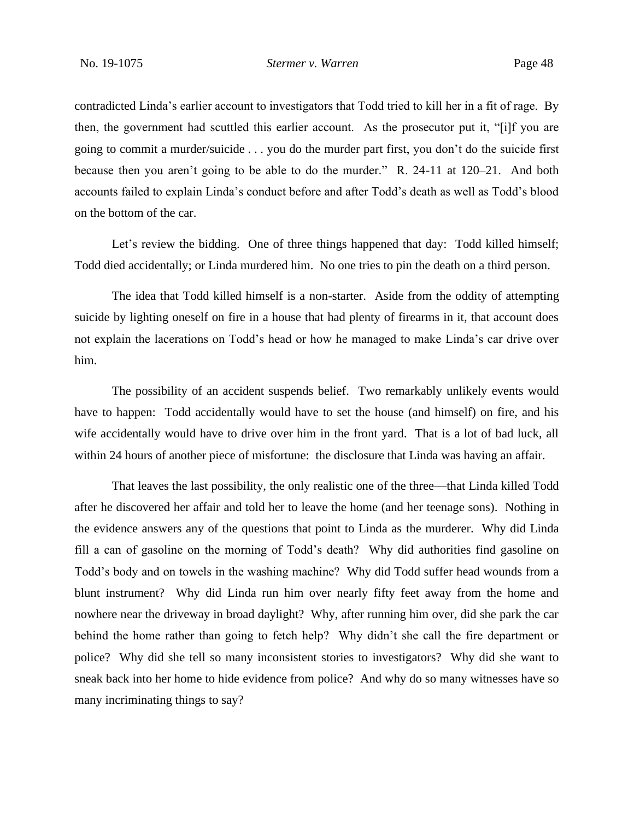contradicted Linda's earlier account to investigators that Todd tried to kill her in a fit of rage. By then, the government had scuttled this earlier account. As the prosecutor put it, "[i]f you are going to commit a murder/suicide . . . you do the murder part first, you don't do the suicide first because then you aren't going to be able to do the murder." R. 24-11 at 120–21. And both accounts failed to explain Linda's conduct before and after Todd's death as well as Todd's blood on the bottom of the car.

Let's review the bidding. One of three things happened that day: Todd killed himself; Todd died accidentally; or Linda murdered him. No one tries to pin the death on a third person.

The idea that Todd killed himself is a non-starter. Aside from the oddity of attempting suicide by lighting oneself on fire in a house that had plenty of firearms in it, that account does not explain the lacerations on Todd's head or how he managed to make Linda's car drive over him.

The possibility of an accident suspends belief. Two remarkably unlikely events would have to happen: Todd accidentally would have to set the house (and himself) on fire, and his wife accidentally would have to drive over him in the front yard. That is a lot of bad luck, all within 24 hours of another piece of misfortune: the disclosure that Linda was having an affair.

That leaves the last possibility, the only realistic one of the three—that Linda killed Todd after he discovered her affair and told her to leave the home (and her teenage sons). Nothing in the evidence answers any of the questions that point to Linda as the murderer. Why did Linda fill a can of gasoline on the morning of Todd's death? Why did authorities find gasoline on Todd's body and on towels in the washing machine? Why did Todd suffer head wounds from a blunt instrument? Why did Linda run him over nearly fifty feet away from the home and nowhere near the driveway in broad daylight? Why, after running him over, did she park the car behind the home rather than going to fetch help? Why didn't she call the fire department or police? Why did she tell so many inconsistent stories to investigators? Why did she want to sneak back into her home to hide evidence from police? And why do so many witnesses have so many incriminating things to say?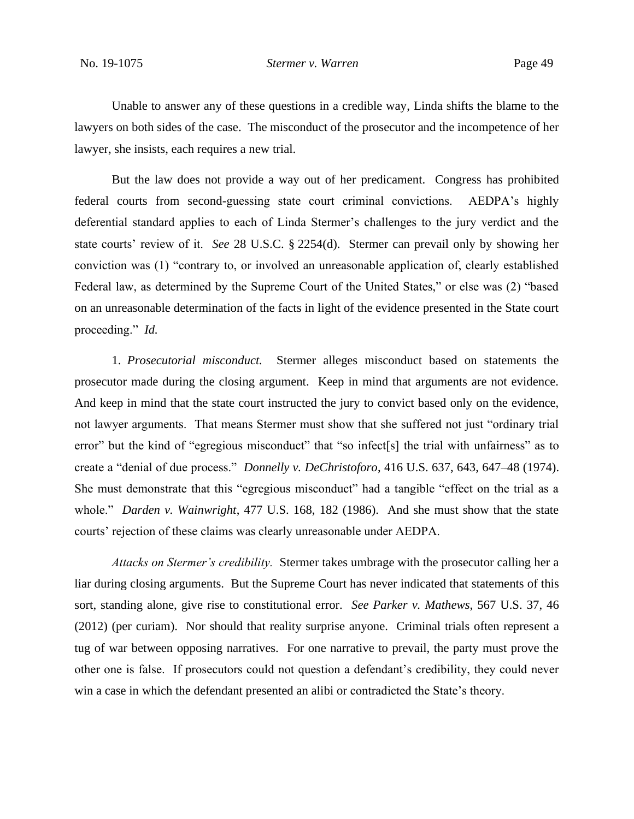Unable to answer any of these questions in a credible way, Linda shifts the blame to the lawyers on both sides of the case. The misconduct of the prosecutor and the incompetence of her lawyer, she insists, each requires a new trial.

But the law does not provide a way out of her predicament. Congress has prohibited federal courts from second-guessing state court criminal convictions. AEDPA's highly deferential standard applies to each of Linda Stermer's challenges to the jury verdict and the state courts' review of it. *See* 28 U.S.C. § 2254(d). Stermer can prevail only by showing her conviction was (1) "contrary to, or involved an unreasonable application of, clearly established Federal law, as determined by the Supreme Court of the United States," or else was (2) "based on an unreasonable determination of the facts in light of the evidence presented in the State court proceeding." *Id.* 

1. *Prosecutorial misconduct.* Stermer alleges misconduct based on statements the prosecutor made during the closing argument. Keep in mind that arguments are not evidence. And keep in mind that the state court instructed the jury to convict based only on the evidence, not lawyer arguments. That means Stermer must show that she suffered not just "ordinary trial error" but the kind of "egregious misconduct" that "so infect[s] the trial with unfairness" as to create a "denial of due process." *Donnelly v. DeChristoforo*, 416 U.S. 637, 643, 647–48 (1974). She must demonstrate that this "egregious misconduct" had a tangible "effect on the trial as a whole." *Darden v. Wainwright*, 477 U.S. 168, 182 (1986). And she must show that the state courts' rejection of these claims was clearly unreasonable under AEDPA.

*Attacks on Stermer's credibility.* Stermer takes umbrage with the prosecutor calling her a liar during closing arguments. But the Supreme Court has never indicated that statements of this sort, standing alone, give rise to constitutional error. *See Parker v. Mathews*, 567 U.S. 37, 46 (2012) (per curiam). Nor should that reality surprise anyone. Criminal trials often represent a tug of war between opposing narratives. For one narrative to prevail, the party must prove the other one is false. If prosecutors could not question a defendant's credibility, they could never win a case in which the defendant presented an alibi or contradicted the State's theory.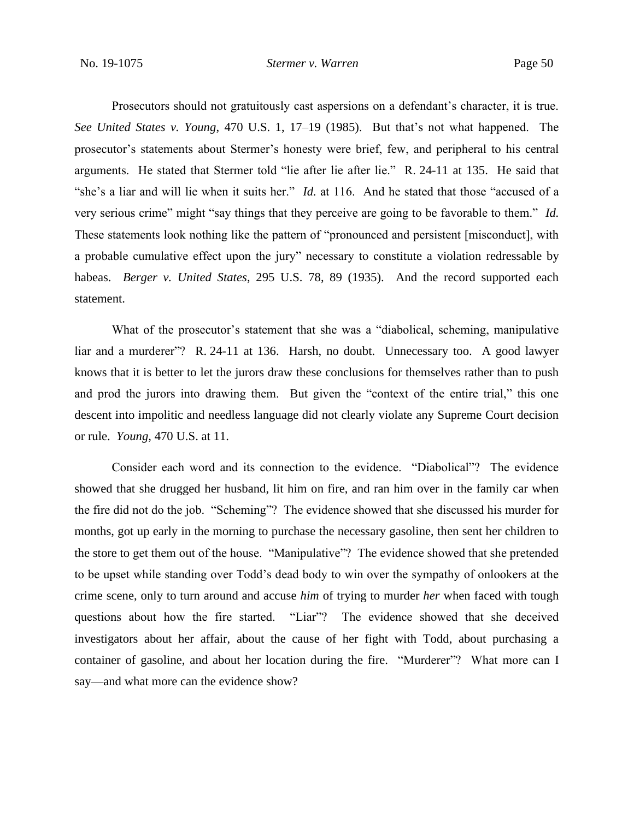Prosecutors should not gratuitously cast aspersions on a defendant's character, it is true. *See United States v. Young*, 470 U.S. 1, 17–19 (1985). But that's not what happened. The prosecutor's statements about Stermer's honesty were brief, few, and peripheral to his central arguments. He stated that Stermer told "lie after lie after lie." R. 24-11 at 135. He said that "she's a liar and will lie when it suits her." *Id.* at 116. And he stated that those "accused of a very serious crime" might "say things that they perceive are going to be favorable to them." *Id.*  These statements look nothing like the pattern of "pronounced and persistent [misconduct], with a probable cumulative effect upon the jury" necessary to constitute a violation redressable by habeas. *Berger v. United States*, 295 U.S. 78, 89 (1935). And the record supported each statement.

What of the prosecutor's statement that she was a "diabolical, scheming, manipulative liar and a murderer"? R. 24-11 at 136. Harsh, no doubt. Unnecessary too. A good lawyer knows that it is better to let the jurors draw these conclusions for themselves rather than to push and prod the jurors into drawing them. But given the "context of the entire trial," this one descent into impolitic and needless language did not clearly violate any Supreme Court decision or rule. *Young*, 470 U.S. at 11.

Consider each word and its connection to the evidence. "Diabolical"? The evidence showed that she drugged her husband, lit him on fire, and ran him over in the family car when the fire did not do the job. "Scheming"? The evidence showed that she discussed his murder for months, got up early in the morning to purchase the necessary gasoline, then sent her children to the store to get them out of the house. "Manipulative"? The evidence showed that she pretended to be upset while standing over Todd's dead body to win over the sympathy of onlookers at the crime scene, only to turn around and accuse *him* of trying to murder *her* when faced with tough questions about how the fire started. "Liar"? The evidence showed that she deceived investigators about her affair, about the cause of her fight with Todd, about purchasing a container of gasoline, and about her location during the fire. "Murderer"? What more can I say—and what more can the evidence show?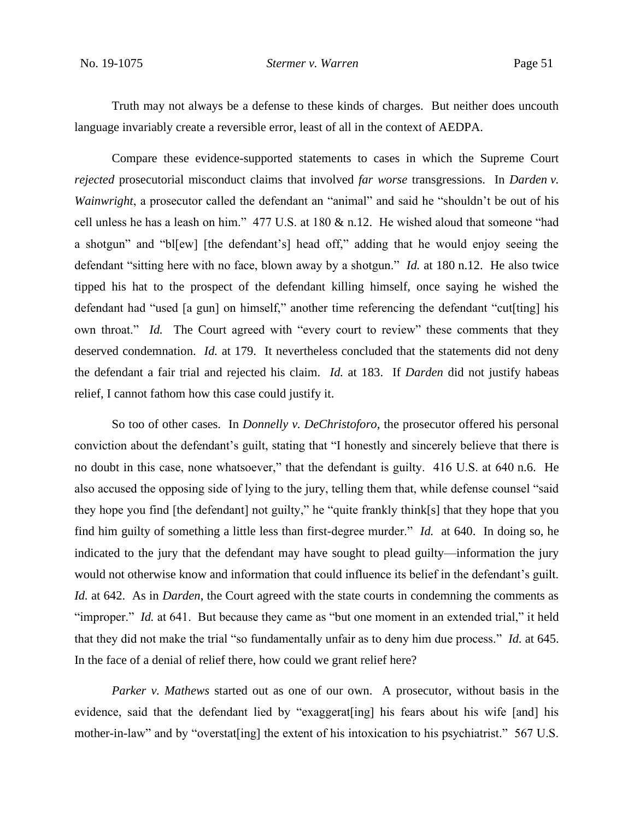Truth may not always be a defense to these kinds of charges. But neither does uncouth language invariably create a reversible error, least of all in the context of AEDPA.

Compare these evidence-supported statements to cases in which the Supreme Court *rejected* prosecutorial misconduct claims that involved *far worse* transgressions. In *Darden v. Wainwright*, a prosecutor called the defendant an "animal" and said he "shouldn't be out of his cell unless he has a leash on him." 477 U.S. at 180 & n.12. He wished aloud that someone "had a shotgun" and "bl[ew] [the defendant's] head off," adding that he would enjoy seeing the defendant "sitting here with no face, blown away by a shotgun." *Id.* at 180 n.12.He also twice tipped his hat to the prospect of the defendant killing himself, once saying he wished the defendant had "used [a gun] on himself," another time referencing the defendant "cut[ting] his own throat." *Id.* The Court agreed with "every court to review" these comments that they deserved condemnation. *Id.* at 179.It nevertheless concluded that the statements did not deny the defendant a fair trial and rejected his claim. *Id.* at 183. If *Darden* did not justify habeas relief, I cannot fathom how this case could justify it.

So too of other cases. In *Donnelly v. DeChristoforo*, the prosecutor offered his personal conviction about the defendant's guilt, stating that "I honestly and sincerely believe that there is no doubt in this case, none whatsoever," that the defendant is guilty. 416 U.S. at 640 n.6. He also accused the opposing side of lying to the jury, telling them that, while defense counsel "said they hope you find [the defendant] not guilty," he "quite frankly think[s] that they hope that you find him guilty of something a little less than first-degree murder." *Id.* at 640. In doing so, he indicated to the jury that the defendant may have sought to plead guilty—information the jury would not otherwise know and information that could influence its belief in the defendant's guilt. *Id.* at 642. As in *Darden*, the Court agreed with the state courts in condemning the comments as "improper." *Id.* at 641. But because they came as "but one moment in an extended trial," it held that they did not make the trial "so fundamentally unfair as to deny him due process." *Id.* at 645. In the face of a denial of relief there, how could we grant relief here?

*Parker v. Mathews* started out as one of our own. A prosecutor, without basis in the evidence, said that the defendant lied by "exaggerat[ing] his fears about his wife [and] his mother-in-law" and by "overstat[ing] the extent of his intoxication to his psychiatrist." 567 U.S.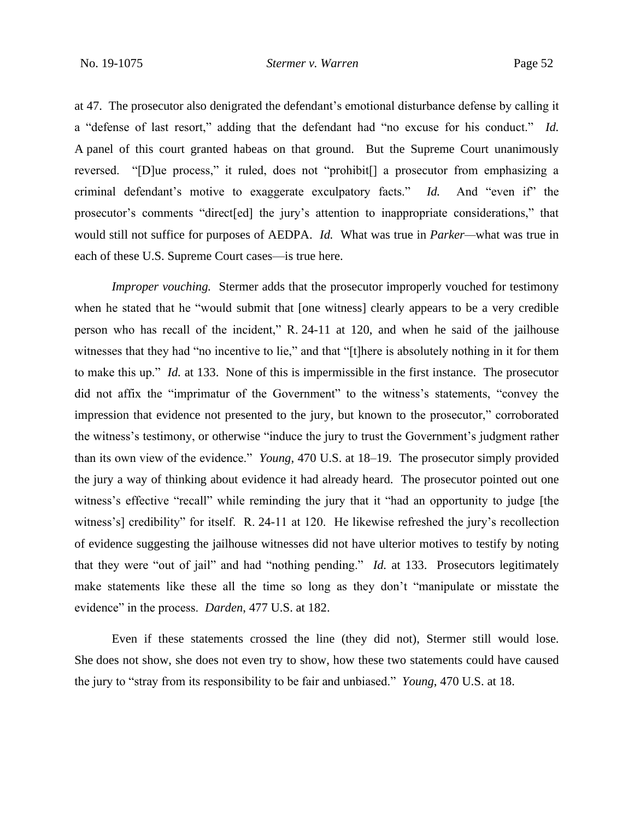at 47. The prosecutor also denigrated the defendant's emotional disturbance defense by calling it a "defense of last resort," adding that the defendant had "no excuse for his conduct." *Id.* A panel of this court granted habeas on that ground. But the Supreme Court unanimously reversed. "[D]ue process," it ruled, does not "prohibit[] a prosecutor from emphasizing a criminal defendant's motive to exaggerate exculpatory facts." *Id.* And "even if" the prosecutor's comments "direct[ed] the jury's attention to inappropriate considerations," that would still not suffice for purposes of AEDPA. *Id.* What was true in *Parker—*what was true in each of these U.S. Supreme Court cases—is true here.

*Improper vouching.* Stermer adds that the prosecutor improperly vouched for testimony when he stated that he "would submit that [one witness] clearly appears to be a very credible person who has recall of the incident," R. 24-11 at 120, and when he said of the jailhouse witnesses that they had "no incentive to lie," and that "[t]here is absolutely nothing in it for them to make this up." *Id.* at 133. None of this is impermissible in the first instance. The prosecutor did not affix the "imprimatur of the Government" to the witness's statements, "convey the impression that evidence not presented to the jury, but known to the prosecutor," corroborated the witness's testimony, or otherwise "induce the jury to trust the Government's judgment rather than its own view of the evidence." *Young*, 470 U.S. at 18–19. The prosecutor simply provided the jury a way of thinking about evidence it had already heard. The prosecutor pointed out one witness's effective "recall" while reminding the jury that it "had an opportunity to judge [the witness's] credibility" for itself. R. 24-11 at 120. He likewise refreshed the jury's recollection of evidence suggesting the jailhouse witnesses did not have ulterior motives to testify by noting that they were "out of jail" and had "nothing pending." *Id.* at 133. Prosecutors legitimately make statements like these all the time so long as they don't "manipulate or misstate the evidence" in the process. *Darden*, 477 U.S. at 182.

Even if these statements crossed the line (they did not), Stermer still would lose. She does not show, she does not even try to show, how these two statements could have caused the jury to "stray from its responsibility to be fair and unbiased." *Young*, 470 U.S. at 18.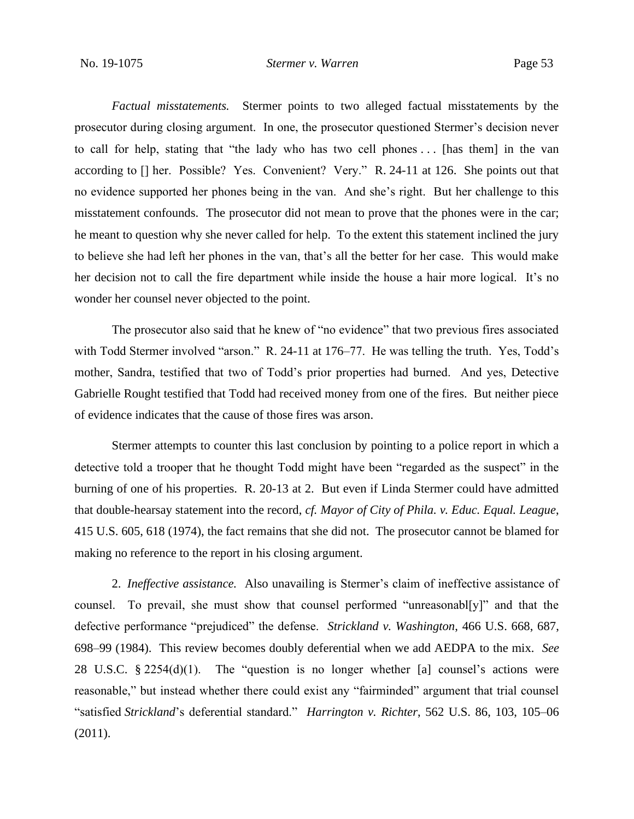*Factual misstatements.* Stermer points to two alleged factual misstatements by the prosecutor during closing argument. In one, the prosecutor questioned Stermer's decision never to call for help, stating that "the lady who has two cell phones . . . [has them] in the van according to [] her. Possible? Yes. Convenient? Very." R. 24-11 at 126. She points out that no evidence supported her phones being in the van. And she's right. But her challenge to this misstatement confounds. The prosecutor did not mean to prove that the phones were in the car; he meant to question why she never called for help. To the extent this statement inclined the jury to believe she had left her phones in the van, that's all the better for her case. This would make her decision not to call the fire department while inside the house a hair more logical. It's no wonder her counsel never objected to the point.

The prosecutor also said that he knew of "no evidence" that two previous fires associated with Todd Stermer involved "arson." R. 24-11 at 176–77. He was telling the truth. Yes, Todd's mother, Sandra, testified that two of Todd's prior properties had burned. And yes, Detective Gabrielle Rought testified that Todd had received money from one of the fires. But neither piece of evidence indicates that the cause of those fires was arson.

Stermer attempts to counter this last conclusion by pointing to a police report in which a detective told a trooper that he thought Todd might have been "regarded as the suspect" in the burning of one of his properties. R. 20-13 at 2. But even if Linda Stermer could have admitted that double-hearsay statement into the record, *cf. Mayor of City of Phila. v. Educ. Equal. League*, 415 U.S. 605, 618 (1974), the fact remains that she did not. The prosecutor cannot be blamed for making no reference to the report in his closing argument.

2. *Ineffective assistance.* Also unavailing is Stermer's claim of ineffective assistance of counsel. To prevail, she must show that counsel performed "unreasonabl[y]" and that the defective performance "prejudiced" the defense. *Strickland v. Washington*, 466 U.S. 668, 687, 698–99 (1984). This review becomes doubly deferential when we add AEDPA to the mix. *See*  28 U.S.C. § 2254(d)(1). The "question is no longer whether [a] counsel's actions were reasonable," but instead whether there could exist any "fairminded" argument that trial counsel "satisfied *Strickland*'s deferential standard." *Harrington v. Richter*, 562 U.S. 86, 103, 105–06 (2011).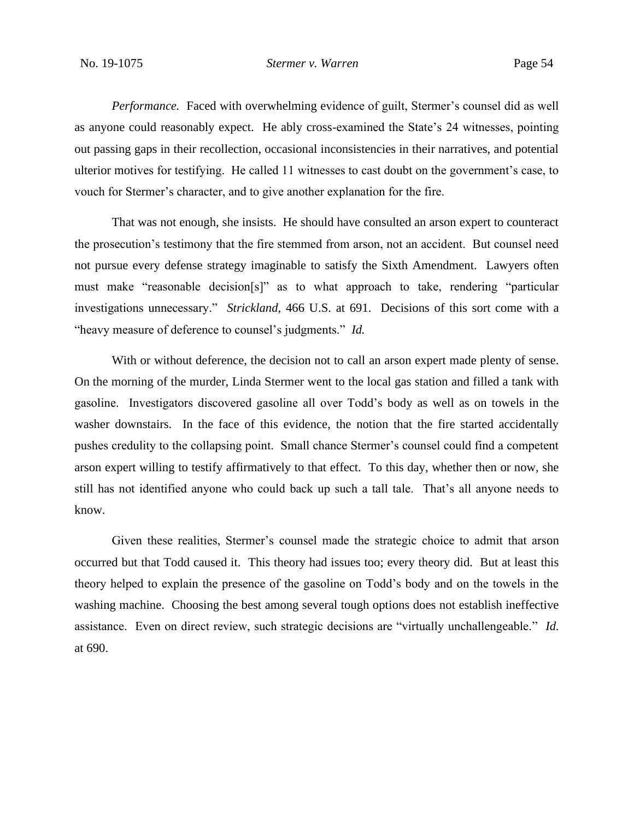*Performance.* Faced with overwhelming evidence of guilt, Stermer's counsel did as well as anyone could reasonably expect. He ably cross-examined the State's 24 witnesses, pointing out passing gaps in their recollection, occasional inconsistencies in their narratives, and potential ulterior motives for testifying. He called 11 witnesses to cast doubt on the government's case, to vouch for Stermer's character, and to give another explanation for the fire.

That was not enough, she insists. He should have consulted an arson expert to counteract the prosecution's testimony that the fire stemmed from arson, not an accident. But counsel need not pursue every defense strategy imaginable to satisfy the Sixth Amendment. Lawyers often must make "reasonable decision[s]" as to what approach to take, rendering "particular investigations unnecessary." *Strickland*, 466 U.S. at 691. Decisions of this sort come with a "heavy measure of deference to counsel's judgments." *Id.*

With or without deference, the decision not to call an arson expert made plenty of sense. On the morning of the murder, Linda Stermer went to the local gas station and filled a tank with gasoline. Investigators discovered gasoline all over Todd's body as well as on towels in the washer downstairs. In the face of this evidence, the notion that the fire started accidentally pushes credulity to the collapsing point. Small chance Stermer's counsel could find a competent arson expert willing to testify affirmatively to that effect. To this day, whether then or now, she still has not identified anyone who could back up such a tall tale. That's all anyone needs to know.

Given these realities, Stermer's counsel made the strategic choice to admit that arson occurred but that Todd caused it. This theory had issues too; every theory did. But at least this theory helped to explain the presence of the gasoline on Todd's body and on the towels in the washing machine. Choosing the best among several tough options does not establish ineffective assistance. Even on direct review, such strategic decisions are "virtually unchallengeable." *Id.*  at 690.